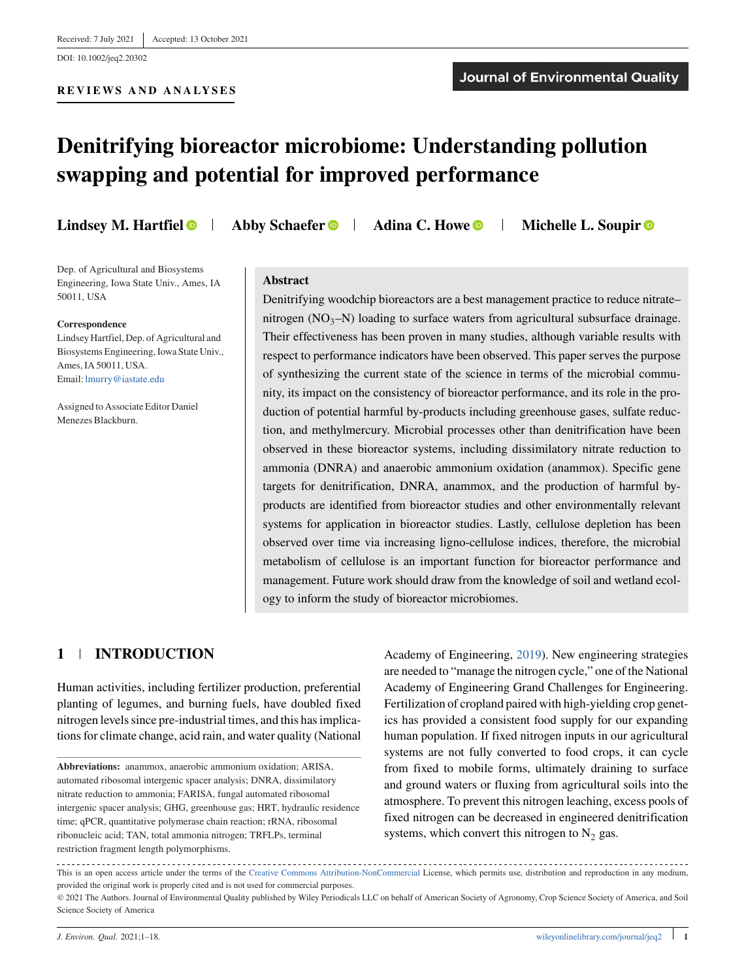#### **REVIEWS AND ANALYSES**

# **Denitrifying bioreactor microbiome: Understanding pollution swapping and potential for improved performance**

Dep. of Agricultural and Biosystems Engineering, Iowa State Univ., Ames, IA 50011, USA

#### **Correspondence**

Lindsey Hartfiel, Dep. of Agricultural and Biosystems Engineering, Iowa State Univ., Ames, IA 50011, USA. Email: [lmurry@iastate.edu](mailto:lmurry@iastate.edu)

Assigned to Associate Editor Daniel Menezes Blackburn.

**Lindsey M. Hartfiel 1** Abby Schaefer **Q** 1 Adina C. Howe **Q** 1 Michelle L. Soupir **Q** 

## **Abstract**

Denitrifying woodchip bioreactors are a best management practice to reduce nitrate– nitrogen ( $NO_3-N$ ) loading to surface waters from agricultural subsurface drainage. Their effectiveness has been proven in many studies, although variable results with respect to performance indicators have been observed. This paper serves the purpose of synthesizing the current state of the science in terms of the microbial community, its impact on the consistency of bioreactor performance, and its role in the production of potential harmful by-products including greenhouse gases, sulfate reduction, and methylmercury. Microbial processes other than denitrification have been observed in these bioreactor systems, including dissimilatory nitrate reduction to ammonia (DNRA) and anaerobic ammonium oxidation (anammox). Specific gene targets for denitrification, DNRA, anammox, and the production of harmful byproducts are identified from bioreactor studies and other environmentally relevant systems for application in bioreactor studies. Lastly, cellulose depletion has been observed over time via increasing ligno-cellulose indices, therefore, the microbial metabolism of cellulose is an important function for bioreactor performance and management. Future work should draw from the knowledge of soil and wetland ecology to inform the study of bioreactor microbiomes.

## **1 INTRODUCTION**

Human activities, including fertilizer production, preferential planting of legumes, and burning fuels, have doubled fixed nitrogen levels since pre-industrial times, and this has implications for climate change, acid rain, and water quality (National

**Abbreviations:** anammox, anaerobic ammonium oxidation; ARISA, automated ribosomal intergenic spacer analysis; DNRA, dissimilatory nitrate reduction to ammonia; FARISA, fungal automated ribosomal intergenic spacer analysis; GHG, greenhouse gas; HRT, hydraulic residence time; qPCR, quantitative polymerase chain reaction; rRNA, ribosomal ribonucleic acid; TAN, total ammonia nitrogen; TRFLPs, terminal restriction fragment length polymorphisms.

Academy of Engineering, [2019\)](#page-16-0). New engineering strategies are needed to "manage the nitrogen cycle," one of the National Academy of Engineering Grand Challenges for Engineering. Fertilization of cropland paired with high-yielding crop genetics has provided a consistent food supply for our expanding human population. If fixed nitrogen inputs in our agricultural systems are not fully converted to food crops, it can cycle from fixed to mobile forms, ultimately draining to surface and ground waters or fluxing from agricultural soils into the atmosphere. To prevent this nitrogen leaching, excess pools of fixed nitrogen can be decreased in engineered denitrification systems, which convert this nitrogen to  $N<sub>2</sub>$  gas.

This is an open access article under the terms of the [Creative Commons Attribution-NonCommercial](http://creativecommons.org/licenses/by-nc/4.0/) License, which permits use, distribution and reproduction in any medium, provided the original work is properly cited and is not used for commercial purposes.

© 2021 The Authors. Journal of Environmental Quality published by Wiley Periodicals LLC on behalf of American Society of Agronomy, Crop Science Society of America, and Soil Science Society of America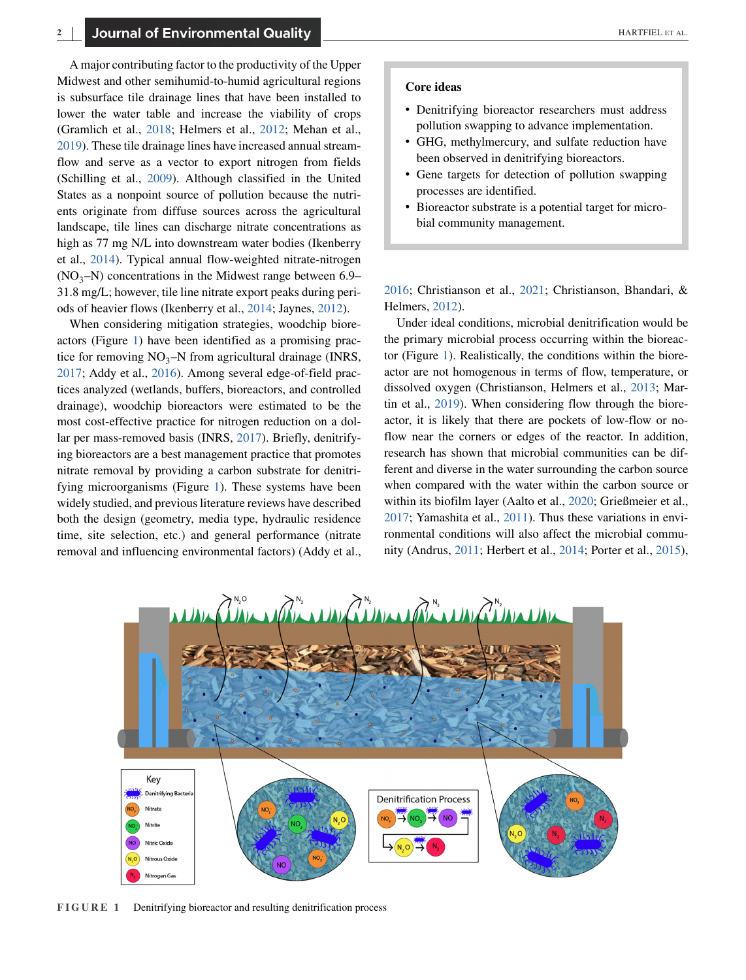A major contributing factor to the productivity of the Upper Midwest and other semihumid-to-humid agricultural regions is subsurface tile drainage lines that have been installed to lower the water table and increase the viability of crops (Gramlich et al., [2018;](#page-14-0) Helmers et al., [2012;](#page-15-0) Mehan et al., [2019\)](#page-16-0). These tile drainage lines have increased annual streamflow and serve as a vector to export nitrogen from fields (Schilling et al., [2009\)](#page-16-0). Although classified in the United States as a nonpoint source of pollution because the nutrients originate from diffuse sources across the agricultural landscape, tile lines can discharge nitrate concentrations as high as 77 mg N/L into downstream water bodies (Ikenberry et al., [2014\)](#page-15-0). Typical annual flow-weighted nitrate-nitrogen  $(NO<sub>3</sub>-N)$  concentrations in the Midwest range between 6.9– 31.8 mg/L; however, tile line nitrate export peaks during periods of heavier flows (Ikenberry et al., [2014;](#page-15-0) Jaynes, [2012\)](#page-15-0).

When considering mitigation strategies, woodchip bioreactors (Figure 1) have been identified as a promising practice for removing  $NO_3-N$  from agricultural drainage (INRS, [2017;](#page-15-0) Addy et al., [2016\)](#page-13-0). Among several edge-of-field practices analyzed (wetlands, buffers, bioreactors, and controlled drainage), woodchip bioreactors were estimated to be the most cost-effective practice for nitrogen reduction on a dollar per mass-removed basis (INRS, [2017\)](#page-15-0). Briefly, denitrifying bioreactors are a best management practice that promotes nitrate removal by providing a carbon substrate for denitrifying microorganisms (Figure 1). These systems have been widely studied, and previous literature reviews have described both the design (geometry, media type, hydraulic residence time, site selection, etc.) and general performance (nitrate removal and influencing environmental factors) (Addy et al.,

- ∙ Denitrifying bioreactor researchers must address pollution swapping to advance implementation.
- ∙ GHG, methylmercury, and sulfate reduction have been observed in denitrifying bioreactors.
- ∙ Gene targets for detection of pollution swapping processes are identified.
- ∙ Bioreactor substrate is a potential target for microbial community management.

[2016;](#page-13-0) Christianson et al., [2021;](#page-14-0) Christianson, Bhandari, & Helmers, [2012\)](#page-13-0).

Under ideal conditions, microbial denitrification would be the primary microbial process occurring within the bioreactor (Figure 1). Realistically, the conditions within the bioreactor are not homogenous in terms of flow, temperature, or dissolved oxygen (Christianson, Helmers et al., [2013;](#page-14-0) Martin et al., [2019\)](#page-16-0). When considering flow through the bioreactor, it is likely that there are pockets of low-flow or noflow near the corners or edges of the reactor. In addition, research has shown that microbial communities can be different and diverse in the water surrounding the carbon source when compared with the water within the carbon source or within its biofilm layer (Aalto et al., [2020;](#page-13-0) Grießmeier et al., [2017;](#page-14-0) Yamashita et al., [2011\)](#page-17-0). Thus these variations in environmental conditions will also affect the microbial community (Andrus, [2011;](#page-13-0) Herbert et al., [2014;](#page-15-0) Porter et al., [2015\)](#page-16-0),



**FIGURE 1** Denitrifying bioreactor and resulting denitrification process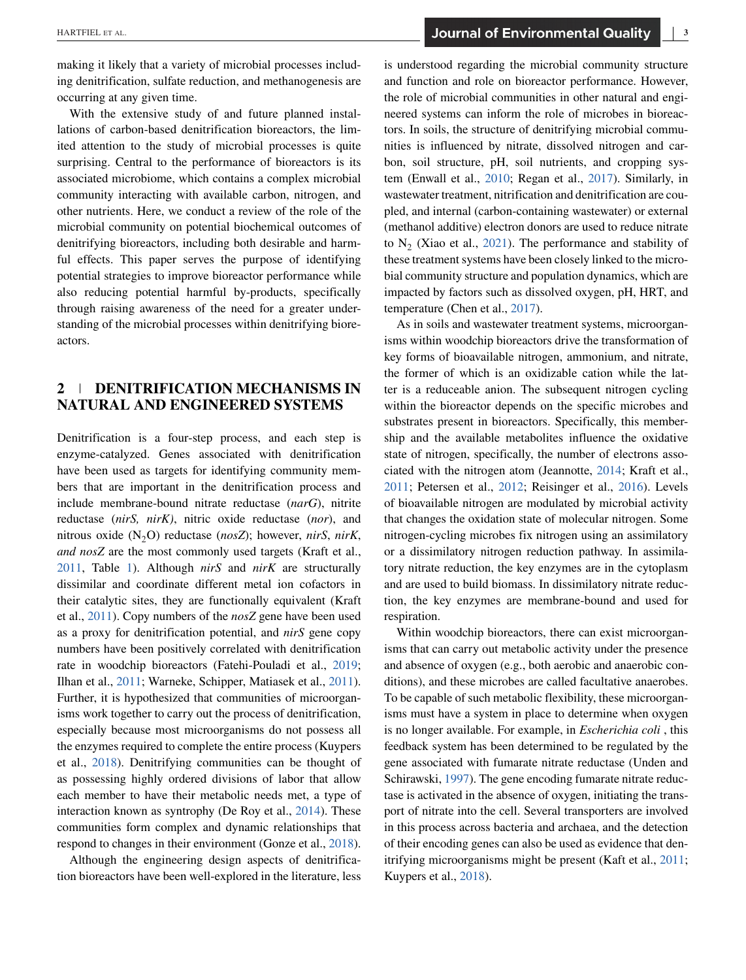making it likely that a variety of microbial processes including denitrification, sulfate reduction, and methanogenesis are occurring at any given time.

With the extensive study of and future planned installations of carbon-based denitrification bioreactors, the limited attention to the study of microbial processes is quite surprising. Central to the performance of bioreactors is its associated microbiome, which contains a complex microbial community interacting with available carbon, nitrogen, and other nutrients. Here, we conduct a review of the role of the microbial community on potential biochemical outcomes of denitrifying bioreactors, including both desirable and harmful effects. This paper serves the purpose of identifying potential strategies to improve bioreactor performance while also reducing potential harmful by-products, specifically through raising awareness of the need for a greater understanding of the microbial processes within denitrifying bioreactors.

## **2 DENITRIFICATION MECHANISMS IN NATURAL AND ENGINEERED SYSTEMS**

Denitrification is a four-step process, and each step is enzyme-catalyzed. Genes associated with denitrification have been used as targets for identifying community members that are important in the denitrification process and include membrane-bound nitrate reductase (*narG*), nitrite reductase (*nirS, nirK)*, nitric oxide reductase (*nor*), and nitrous oxide (N2O) reductase (*nosZ*); however, *nirS*, *nirK*, *and nosZ* are the most commonly used targets (Kraft et al., [2011,](#page-15-0) Table [1\)](#page-3-0). Although *nirS* and *nirK* are structurally dissimilar and coordinate different metal ion cofactors in their catalytic sites, they are functionally equivalent (Kraft et al., [2011\)](#page-15-0). Copy numbers of the *nosZ* gene have been used as a proxy for denitrification potential, and *nirS* gene copy numbers have been positively correlated with denitrification rate in woodchip bioreactors (Fatehi-Pouladi et al., [2019;](#page-14-0) Ilhan et al., [2011;](#page-15-0) Warneke, Schipper, Matiasek et al., [2011\)](#page-17-0). Further, it is hypothesized that communities of microorganisms work together to carry out the process of denitrification, especially because most microorganisms do not possess all the enzymes required to complete the entire process (Kuypers et al., [2018\)](#page-15-0). Denitrifying communities can be thought of as possessing highly ordered divisions of labor that allow each member to have their metabolic needs met, a type of interaction known as syntrophy (De Roy et al., [2014\)](#page-14-0). These communities form complex and dynamic relationships that respond to changes in their environment (Gonze et al., [2018\)](#page-14-0).

Although the engineering design aspects of denitrification bioreactors have been well-explored in the literature, less is understood regarding the microbial community structure and function and role on bioreactor performance. However, the role of microbial communities in other natural and engineered systems can inform the role of microbes in bioreactors. In soils, the structure of denitrifying microbial communities is influenced by nitrate, dissolved nitrogen and carbon, soil structure, pH, soil nutrients, and cropping system (Enwall et al., [2010;](#page-14-0) Regan et al., [2017\)](#page-16-0). Similarly, in wastewater treatment, nitrification and denitrification are coupled, and internal (carbon-containing wastewater) or external (methanol additive) electron donors are used to reduce nitrate to  $N<sub>2</sub>$  (Xiao et al., [2021\)](#page-17-0). The performance and stability of these treatment systems have been closely linked to the microbial community structure and population dynamics, which are impacted by factors such as dissolved oxygen, pH, HRT, and temperature (Chen et al., [2017\)](#page-13-0).

As in soils and wastewater treatment systems, microorganisms within woodchip bioreactors drive the transformation of key forms of bioavailable nitrogen, ammonium, and nitrate, the former of which is an oxidizable cation while the latter is a reduceable anion. The subsequent nitrogen cycling within the bioreactor depends on the specific microbes and substrates present in bioreactors. Specifically, this membership and the available metabolites influence the oxidative state of nitrogen, specifically, the number of electrons associated with the nitrogen atom (Jeannotte, [2014;](#page-15-0) Kraft et al., [2011;](#page-15-0) Petersen et al., [2012;](#page-16-0) Reisinger et al., [2016\)](#page-16-0). Levels of bioavailable nitrogen are modulated by microbial activity that changes the oxidation state of molecular nitrogen. Some nitrogen-cycling microbes fix nitrogen using an assimilatory or a dissimilatory nitrogen reduction pathway. In assimilatory nitrate reduction, the key enzymes are in the cytoplasm and are used to build biomass. In dissimilatory nitrate reduction, the key enzymes are membrane-bound and used for respiration.

Within woodchip bioreactors, there can exist microorganisms that can carry out metabolic activity under the presence and absence of oxygen (e.g., both aerobic and anaerobic conditions), and these microbes are called facultative anaerobes. To be capable of such metabolic flexibility, these microorganisms must have a system in place to determine when oxygen is no longer available. For example, in *Escherichia coli* , this feedback system has been determined to be regulated by the gene associated with fumarate nitrate reductase (Unden and Schirawski, [1997\)](#page-17-0). The gene encoding fumarate nitrate reductase is activated in the absence of oxygen, initiating the transport of nitrate into the cell. Several transporters are involved in this process across bacteria and archaea, and the detection of their encoding genes can also be used as evidence that denitrifying microorganisms might be present (Kaft et al., [2011;](#page-15-0) Kuypers et al., [2018\)](#page-15-0).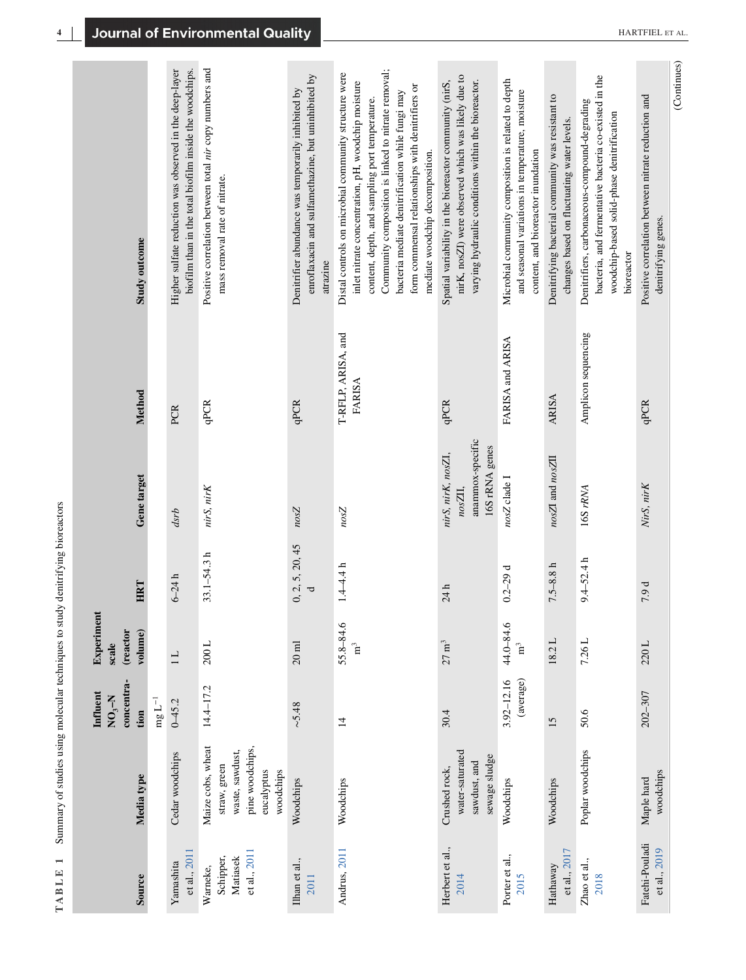<span id="page-3-0"></span>

| Study outcome                                  |                  | biofilm than in the total biofilm inside the woodchips.<br>Higher sulfate reduction was observed in the deep-layer | Positive correlation between total nir copy numbers and<br>mass removal rate of nitrate.           | enroflaxacin and sulfamethazine, but uninhibited by<br>Denitrifier abundance was temporarily inhibited by<br>atrazine | Community composition is linked to nitrate removal;<br>Distal controls on microbial community structure were<br>inlet nitrate concentration, pH, woodchip moisture<br>form commensal relationships with denitrifiers or<br>bacteria mediate denitrification while fungi may<br>content, depth, and sampling port temperature.<br>mediate woodchip decomposition. | nirK, nosZI) were observed which was likely due to<br>Spatial variability in the bioreactor community (nirS,<br>varying hydraulic conditions within the bioreactor. | Microbial community composition is related to depth<br>and seasonal variations in temperature, moisture<br>content, and bioreactor inundation | Denitrifying bacterial community was resistant to<br>changes based on fluctuating water levels. | bacteria, and fermentative bacteria co-existed in the<br>Denitrifiers, carbonaceous-compound-degrading<br>woodchip-based solid-phase denitrification<br>bioreactor | (Continues)<br>Positive correlation between nitrate reduction and<br>denitrifying genes. |
|------------------------------------------------|------------------|--------------------------------------------------------------------------------------------------------------------|----------------------------------------------------------------------------------------------------|-----------------------------------------------------------------------------------------------------------------------|------------------------------------------------------------------------------------------------------------------------------------------------------------------------------------------------------------------------------------------------------------------------------------------------------------------------------------------------------------------|---------------------------------------------------------------------------------------------------------------------------------------------------------------------|-----------------------------------------------------------------------------------------------------------------------------------------------|-------------------------------------------------------------------------------------------------|--------------------------------------------------------------------------------------------------------------------------------------------------------------------|------------------------------------------------------------------------------------------|
| Method                                         |                  | PCR                                                                                                                | qPCR                                                                                               | qPCR                                                                                                                  | T-RFLP, ARISA, and<br>FARISA                                                                                                                                                                                                                                                                                                                                     | qPCR                                                                                                                                                                | FARISA and ARISA                                                                                                                              | ARISA                                                                                           | Amplicon sequencing                                                                                                                                                | qPCR                                                                                     |
| Gene target                                    |                  | dsrb                                                                                                               | nirS, nirK                                                                                         | nosZ                                                                                                                  | nosZ                                                                                                                                                                                                                                                                                                                                                             | anammox-specific<br>16S rRNA genes<br>nirS, nirK, nosZI,<br>nosZII,                                                                                                 | nosZ clade I                                                                                                                                  | $nosZI$ and $nosZII$                                                                            | 16S rRNA                                                                                                                                                           | NirS, nirK                                                                               |
| <b>HRT</b>                                     |                  | $6 - 24 h$                                                                                                         | $33.1 - 54.3 h$                                                                                    | 0, 2, 5, 20, 45<br>J                                                                                                  | $1.4 - 4.4 h$                                                                                                                                                                                                                                                                                                                                                    | 24h                                                                                                                                                                 | $0.2 - 29d$                                                                                                                                   | $7.5 - 8.8 h$                                                                                   | $9.4 - 52.4 h$                                                                                                                                                     | 7.9 d                                                                                    |
| Experiment<br>(reactor<br>volume)<br>scale     |                  | $\overline{11}$                                                                                                    | $200$ L                                                                                            | $20$ ml                                                                                                               | $55.8 - 84.6$<br>$\mathbf{m}^3$                                                                                                                                                                                                                                                                                                                                  | $27~\mathrm{m}^3$                                                                                                                                                   | 44.0-84.6<br>$\mathbf{H}^3$                                                                                                                   | 18.2 L                                                                                          | 7.26L                                                                                                                                                              | 220L                                                                                     |
| concentra-<br>Influent<br>$N_{\rm Qy}$<br>tion | $\rm mg\,L^{-1}$ | $0 - 45.2$                                                                                                         | $14.4 - 17.2$                                                                                      | ~5.48                                                                                                                 | $\vec{a}$                                                                                                                                                                                                                                                                                                                                                        | 30.4                                                                                                                                                                | (average)<br>3.92-12.16                                                                                                                       | 15                                                                                              | 50.6                                                                                                                                                               | 202-307                                                                                  |
| Media type                                     |                  | Cedar woodchips                                                                                                    | Maize cobs, wheat<br>pine woodchips,<br>waste, sawdust,<br>straw, green<br>eucalyptus<br>woodchips | Woodchips                                                                                                             | Woodchips                                                                                                                                                                                                                                                                                                                                                        | water-saturated<br>sewage sludge<br>sawdust, and<br>Crushed rock,                                                                                                   | Woodchips                                                                                                                                     | Woodchips                                                                                       | Poplar woodchips                                                                                                                                                   | woodchips<br>Maple hard                                                                  |
| Source                                         |                  | et al., 2011<br>Yamashita                                                                                          | et al., 2011<br>Matiasek<br>Schipper,<br>Warneke,                                                  | Ilhan et al.,<br>2011                                                                                                 | Andrus, 2011                                                                                                                                                                                                                                                                                                                                                     | Herbert et al.,<br>2014                                                                                                                                             | Porter et al.,<br>2015                                                                                                                        | et al., 2017<br>Hathaway                                                                        | Zhao et al.,<br>2018                                                                                                                                               | Fatehi-Pouladi<br>et al., 2019                                                           |

**TABLE 1** Summary of studies using molecular techniques to study denitrifying bioreactors

TABLE 1 Summary of studies using molecular techniques to study denitrifying bioreactors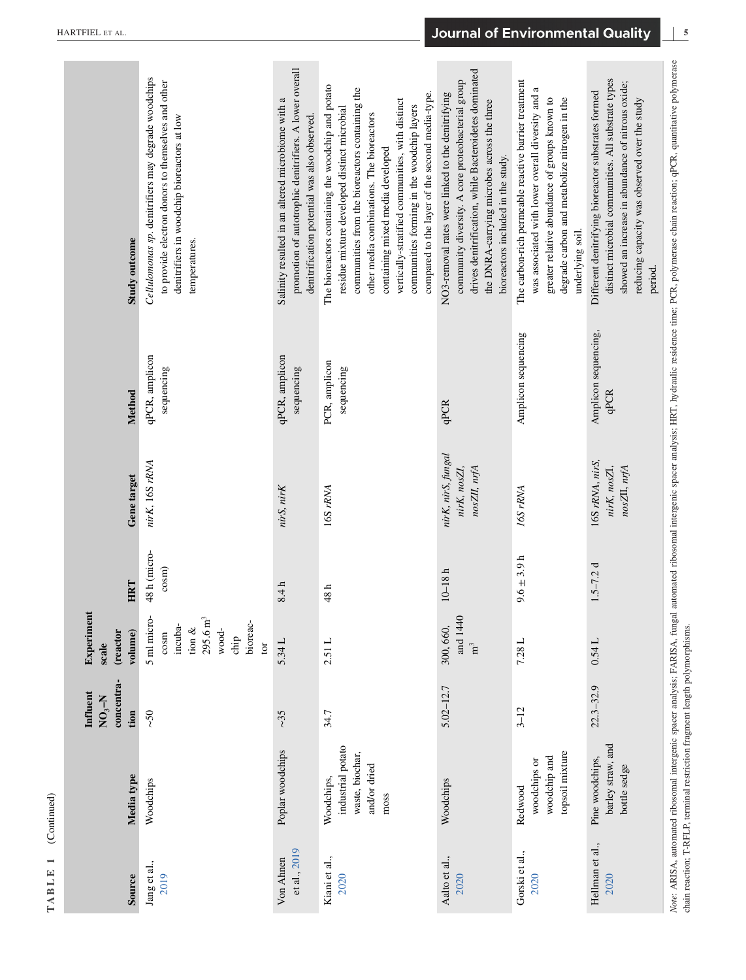| Source                    | Media type                                                                 | concentra-<br>Influent<br>$NO3 - N$<br>tion | Experimen<br>volume)<br>(reactor<br>scale                                                              | HRT                              | Gene target                                                                     | Method                              | Study outcome                                                                                                                                                                                                                                                                                                                                                                               |
|---------------------------|----------------------------------------------------------------------------|---------------------------------------------|--------------------------------------------------------------------------------------------------------|----------------------------------|---------------------------------------------------------------------------------|-------------------------------------|---------------------------------------------------------------------------------------------------------------------------------------------------------------------------------------------------------------------------------------------------------------------------------------------------------------------------------------------------------------------------------------------|
| Jang et al.,<br>2019      | Woodchips                                                                  | $\sim$ 50                                   | 5 ml micro-<br>$295.6 \text{ m}^3$<br>bioreac-<br>incuba-<br>tion $\&$<br>wood-<br>cosm<br>chip<br>tor | 48 h (micro-<br>cos <sub>m</sub> | nirK, 16S rRNA                                                                  | qPCR, amplicon<br>sequencing        | Cellulomonas sp. denitrifiers may degrade woodchips<br>to provide electron donors to themselves and other<br>denitrifiers in woodchip bioreactors at low<br>temperatures.                                                                                                                                                                                                                   |
| et al., 2019<br>Von Ahnen | Poplar woodchips                                                           | ~25~                                        | 5.34 L                                                                                                 | 8.4h                             | nirS, nirK                                                                      | qPCR, amplicon<br>sequencing        | promotion of autotrophic denitrifiers. A lower overall<br>Salinity resulted in an altered microbiome with a<br>denitrification potential was also observed.                                                                                                                                                                                                                                 |
| Kiani et al.,<br>2020     | industrial potato<br>waste, biochar,<br>and/or dried<br>Woodchips,<br>moss | 34.7                                        | 2.51 L                                                                                                 | 48h                              | 16S rRNA                                                                        | PCR, amplicon<br>sequencing         | The bioreactors containing the woodchip and potato<br>communities from the bioreactors containing the<br>compared to the layer of the second media-type.<br>vertically-stratified communities, with distinct<br>communities forming in the woodchip layers<br>residue mixture developed distinct microbial<br>other media combinations. The bioreactors<br>containing mixed media developed |
| Aalto et al.,<br>2020     | Woodchips                                                                  | $5.02 - 12.7$                               | and 1440<br>300, 660,<br>$\mathbf{m}^3$                                                                | $10-18h$                         | nirK, nirS, fungal<br>nosZII, nrfA<br>nirK, nosZI,                              | qPCR                                | drives denitrification, while Bacteroidetes dominated<br>community diversity. A core proteobacterial group<br>NO3-removal rates were linked to the denitrifying<br>the DNRA-carrying microbes across the three<br>bioreactors included in the study.                                                                                                                                        |
| Gorski et al.,<br>2020    | topsoil mixture<br>woodchip and<br>woodchips or<br>Redwood                 | $3 - 12$                                    | 7.28L                                                                                                  | $9.6 \pm 3.9 h$                  | 16S rRNA                                                                        | Amplicon sequencing                 | The carbon-rich permeable reactive barrier treatment<br>a<br>was associated with lower overall diversity and<br>greater relative abundance of groups known to<br>degrade carbon and metabolize nitrogen in the<br>underlying soil.                                                                                                                                                          |
| Hellman et al.,<br>2020   | barley straw, and<br>Pine woodchips,<br>bottle sedge                       | $22.3 - 32.9$                               | 0.54L                                                                                                  | $1.5 - 7.2 d$                    | 16S rRNA, nirS,<br>nirK, nosZI,<br>$n\sigma s\mathbb{Z}I$ , $n\tau f\mathbb{A}$ | Amplicon sequencing,<br><b>qPCR</b> | distinct microbial communities. All substrate types<br>showed an increase in abundance of nitrous oxide;<br>Different denitrifying bioreactor substrates formed<br>reducing capacity was observed over the study<br>period.                                                                                                                                                                 |

**5**

**TABLE 1** (Continued)

TABLE 1

 $(Continued)$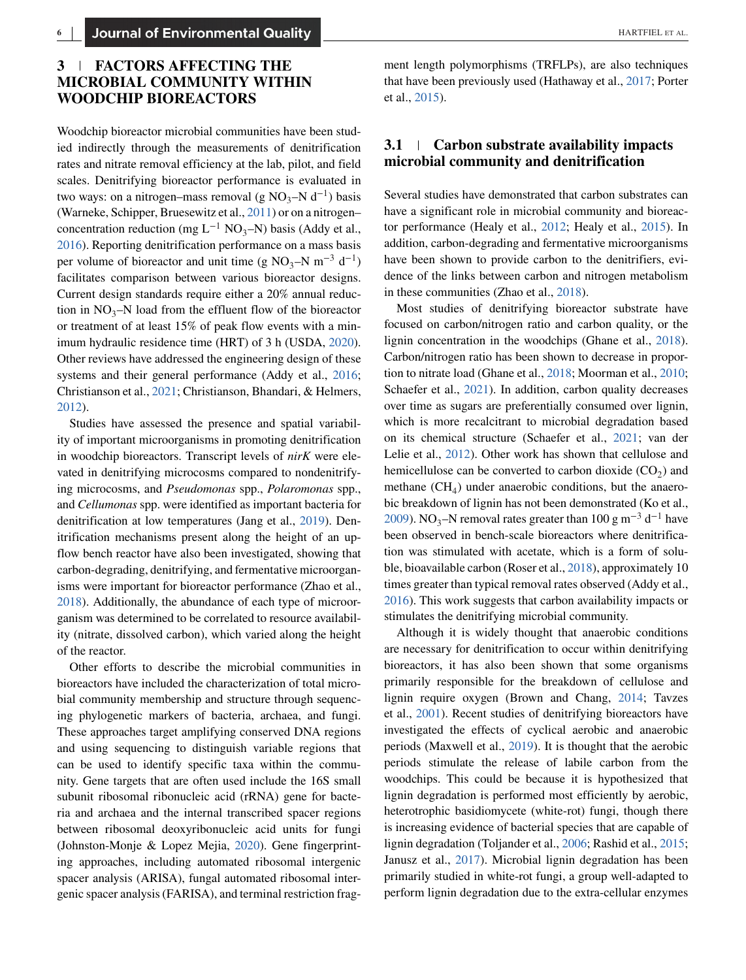# **3 FACTORS AFFECTING THE MICROBIAL COMMUNITY WITHIN WOODCHIP BIOREACTORS**

Woodchip bioreactor microbial communities have been studied indirectly through the measurements of denitrification rates and nitrate removal efficiency at the lab, pilot, and field scales. Denitrifying bioreactor performance is evaluated in two ways: on a nitrogen–mass removal (g NO<sub>3</sub>–N d<sup>-1</sup>) basis (Warneke, Schipper, Bruesewitz et al., [2011\)](#page-17-0) or on a nitrogen– concentration reduction (mg L<sup>-1</sup> NO<sub>3</sub>–N) basis (Addy et al., [2016\)](#page-13-0). Reporting denitrification performance on a mass basis per volume of bioreactor and unit time (g NO<sub>3</sub>–N m<sup>-3</sup> d<sup>-1</sup>) facilitates comparison between various bioreactor designs. Current design standards require either a 20% annual reduction in  $NO_3$ –N load from the effluent flow of the bioreactor or treatment of at least 15% of peak flow events with a minimum hydraulic residence time (HRT) of 3 h (USDA, [2020\)](#page-17-0). Other reviews have addressed the engineering design of these systems and their general performance (Addy et al., [2016;](#page-13-0) Christianson et al., [2021;](#page-14-0) Christianson, Bhandari, & Helmers, [2012\)](#page-13-0).

Studies have assessed the presence and spatial variability of important microorganisms in promoting denitrification in woodchip bioreactors. Transcript levels of *nirK* were elevated in denitrifying microcosms compared to nondenitrifying microcosms, and *Pseudomonas* spp., *Polaromonas* spp., and *Cellumonas* spp. were identified as important bacteria for denitrification at low temperatures (Jang et al., [2019\)](#page-15-0). Denitrification mechanisms present along the height of an upflow bench reactor have also been investigated, showing that carbon-degrading, denitrifying, and fermentative microorganisms were important for bioreactor performance (Zhao et al., [2018\)](#page-17-0). Additionally, the abundance of each type of microorganism was determined to be correlated to resource availability (nitrate, dissolved carbon), which varied along the height of the reactor.

Other efforts to describe the microbial communities in bioreactors have included the characterization of total microbial community membership and structure through sequencing phylogenetic markers of bacteria, archaea, and fungi. These approaches target amplifying conserved DNA regions and using sequencing to distinguish variable regions that can be used to identify specific taxa within the community. Gene targets that are often used include the 16S small subunit ribosomal ribonucleic acid (rRNA) gene for bacteria and archaea and the internal transcribed spacer regions between ribosomal deoxyribonucleic acid units for fungi (Johnston-Monje & Lopez Mejia, [2020\)](#page-15-0). Gene fingerprinting approaches, including automated ribosomal intergenic spacer analysis (ARISA), fungal automated ribosomal intergenic spacer analysis (FARISA), and terminal restriction fragment length polymorphisms (TRFLPs), are also techniques that have been previously used (Hathaway et al., [2017;](#page-15-0) Porter et al., [2015\)](#page-16-0).

## **3.1 Carbon substrate availability impacts microbial community and denitrification**

Several studies have demonstrated that carbon substrates can have a significant role in microbial community and bioreactor performance (Healy et al., [2012;](#page-15-0) Healy et al., [2015\)](#page-15-0). In addition, carbon-degrading and fermentative microorganisms have been shown to provide carbon to the denitrifiers, evidence of the links between carbon and nitrogen metabolism in these communities (Zhao et al., [2018\)](#page-17-0).

Most studies of denitrifying bioreactor substrate have focused on carbon/nitrogen ratio and carbon quality, or the lignin concentration in the woodchips (Ghane et al., [2018\)](#page-14-0). Carbon/nitrogen ratio has been shown to decrease in proportion to nitrate load (Ghane et al., [2018;](#page-14-0) Moorman et al., [2010;](#page-16-0) Schaefer et al., [2021\)](#page-16-0). In addition, carbon quality decreases over time as sugars are preferentially consumed over lignin, which is more recalcitrant to microbial degradation based on its chemical structure (Schaefer et al., [2021;](#page-16-0) van der Lelie et al., [2012\)](#page-16-0). Other work has shown that cellulose and hemicellulose can be converted to carbon dioxide  $(CO<sub>2</sub>)$  and methane  $(CH<sub>4</sub>)$  under anaerobic conditions, but the anaerobic breakdown of lignin has not been demonstrated (Ko et al., [2009\)](#page-15-0). NO<sub>3</sub>–N removal rates greater than 100 g m<sup>-3</sup> d<sup>-1</sup> have been observed in bench-scale bioreactors where denitrification was stimulated with acetate, which is a form of soluble, bioavailable carbon (Roser et al., [2018\)](#page-16-0), approximately 10 times greater than typical removal rates observed (Addy et al., [2016\)](#page-13-0). This work suggests that carbon availability impacts or stimulates the denitrifying microbial community.

Although it is widely thought that anaerobic conditions are necessary for denitrification to occur within denitrifying bioreactors, it has also been shown that some organisms primarily responsible for the breakdown of cellulose and lignin require oxygen (Brown and Chang, [2014;](#page-13-0) Tavzes et al., [2001\)](#page-17-0). Recent studies of denitrifying bioreactors have investigated the effects of cyclical aerobic and anaerobic periods (Maxwell et al., [2019\)](#page-16-0). It is thought that the aerobic periods stimulate the release of labile carbon from the woodchips. This could be because it is hypothesized that lignin degradation is performed most efficiently by aerobic, heterotrophic basidiomycete (white-rot) fungi, though there is increasing evidence of bacterial species that are capable of lignin degradation (Toljander et al., [2006;](#page-17-0) Rashid et al., [2015;](#page-16-0) Janusz et al., [2017\)](#page-15-0). Microbial lignin degradation has been primarily studied in white-rot fungi, a group well-adapted to perform lignin degradation due to the extra-cellular enzymes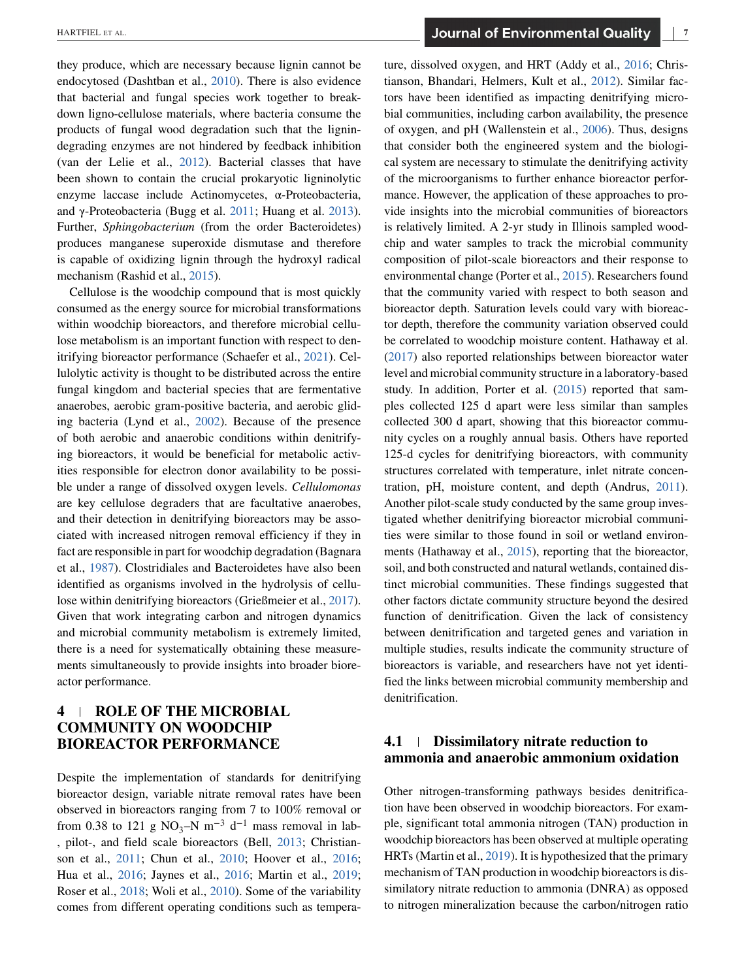they produce, which are necessary because lignin cannot be endocytosed (Dashtban et al., [2010\)](#page-14-0). There is also evidence that bacterial and fungal species work together to breakdown ligno-cellulose materials, where bacteria consume the products of fungal wood degradation such that the lignindegrading enzymes are not hindered by feedback inhibition (van der Lelie et al., [2012\)](#page-16-0). Bacterial classes that have been shown to contain the crucial prokaryotic ligninolytic enzyme laccase include Actinomycetes, α-Proteobacteria, and γ-Proteobacteria (Bugg et al. [2011;](#page-13-0) Huang et al. [2013\)](#page-15-0). Further, *Sphingobacterium* (from the order Bacteroidetes) produces manganese superoxide dismutase and therefore is capable of oxidizing lignin through the hydroxyl radical mechanism (Rashid et al., [2015\)](#page-16-0).

Cellulose is the woodchip compound that is most quickly consumed as the energy source for microbial transformations within woodchip bioreactors, and therefore microbial cellulose metabolism is an important function with respect to denitrifying bioreactor performance (Schaefer et al., [2021\)](#page-16-0). Cellulolytic activity is thought to be distributed across the entire fungal kingdom and bacterial species that are fermentative anaerobes, aerobic gram-positive bacteria, and aerobic gliding bacteria (Lynd et al., [2002\)](#page-16-0). Because of the presence of both aerobic and anaerobic conditions within denitrifying bioreactors, it would be beneficial for metabolic activities responsible for electron donor availability to be possible under a range of dissolved oxygen levels. *Cellulomonas* are key cellulose degraders that are facultative anaerobes, and their detection in denitrifying bioreactors may be associated with increased nitrogen removal efficiency if they in fact are responsible in part for woodchip degradation (Bagnara et al., [1987\)](#page-13-0). Clostridiales and Bacteroidetes have also been identified as organisms involved in the hydrolysis of cellulose within denitrifying bioreactors (Grießmeier et al., [2017\)](#page-14-0). Given that work integrating carbon and nitrogen dynamics and microbial community metabolism is extremely limited, there is a need for systematically obtaining these measurements simultaneously to provide insights into broader bioreactor performance.

# **4 ROLE OF THE MICROBIAL COMMUNITY ON WOODCHIP BIOREACTOR PERFORMANCE**

Despite the implementation of standards for denitrifying bioreactor design, variable nitrate removal rates have been observed in bioreactors ranging from 7 to 100% removal or from 0.38 to 121 g NO<sub>3</sub>–N m<sup>-3</sup> d<sup>-1</sup> mass removal in lab-, pilot-, and field scale bioreactors (Bell, [2013;](#page-13-0) Christianson et al., [2011;](#page-13-0) Chun et al., [2010;](#page-14-0) Hoover et al., [2016;](#page-15-0) Hua et al., [2016;](#page-15-0) Jaynes et al., [2016;](#page-15-0) Martin et al., [2019;](#page-16-0) Roser et al., [2018;](#page-16-0) Woli et al., [2010\)](#page-17-0). Some of the variability comes from different operating conditions such as temperature, dissolved oxygen, and HRT (Addy et al., [2016;](#page-13-0) Christianson, Bhandari, Helmers, Kult et al., [2012\)](#page-13-0). Similar factors have been identified as impacting denitrifying microbial communities, including carbon availability, the presence of oxygen, and pH (Wallenstein et al., [2006\)](#page-17-0). Thus, designs that consider both the engineered system and the biological system are necessary to stimulate the denitrifying activity of the microorganisms to further enhance bioreactor performance. However, the application of these approaches to provide insights into the microbial communities of bioreactors is relatively limited. A 2-yr study in Illinois sampled woodchip and water samples to track the microbial community composition of pilot-scale bioreactors and their response to environmental change (Porter et al., [2015\)](#page-16-0). Researchers found that the community varied with respect to both season and bioreactor depth. Saturation levels could vary with bioreactor depth, therefore the community variation observed could be correlated to woodchip moisture content. Hathaway et al. [\(2017\)](#page-15-0) also reported relationships between bioreactor water level and microbial community structure in a laboratory-based study. In addition, Porter et al. [\(2015\)](#page-16-0) reported that samples collected 125 d apart were less similar than samples collected 300 d apart, showing that this bioreactor community cycles on a roughly annual basis. Others have reported 125-d cycles for denitrifying bioreactors, with community structures correlated with temperature, inlet nitrate concentration, pH, moisture content, and depth (Andrus, [2011\)](#page-13-0). Another pilot-scale study conducted by the same group investigated whether denitrifying bioreactor microbial communities were similar to those found in soil or wetland environments (Hathaway et al., [2015\)](#page-15-0), reporting that the bioreactor, soil, and both constructed and natural wetlands, contained distinct microbial communities. These findings suggested that other factors dictate community structure beyond the desired function of denitrification. Given the lack of consistency between denitrification and targeted genes and variation in multiple studies, results indicate the community structure of bioreactors is variable, and researchers have not yet identified the links between microbial community membership and denitrification.

# **4.1 Dissimilatory nitrate reduction to ammonia and anaerobic ammonium oxidation**

Other nitrogen-transforming pathways besides denitrification have been observed in woodchip bioreactors. For example, significant total ammonia nitrogen (TAN) production in woodchip bioreactors has been observed at multiple operating HRTs (Martin et al., [2019\)](#page-16-0). It is hypothesized that the primary mechanism of TAN production in woodchip bioreactors is dissimilatory nitrate reduction to ammonia (DNRA) as opposed to nitrogen mineralization because the carbon/nitrogen ratio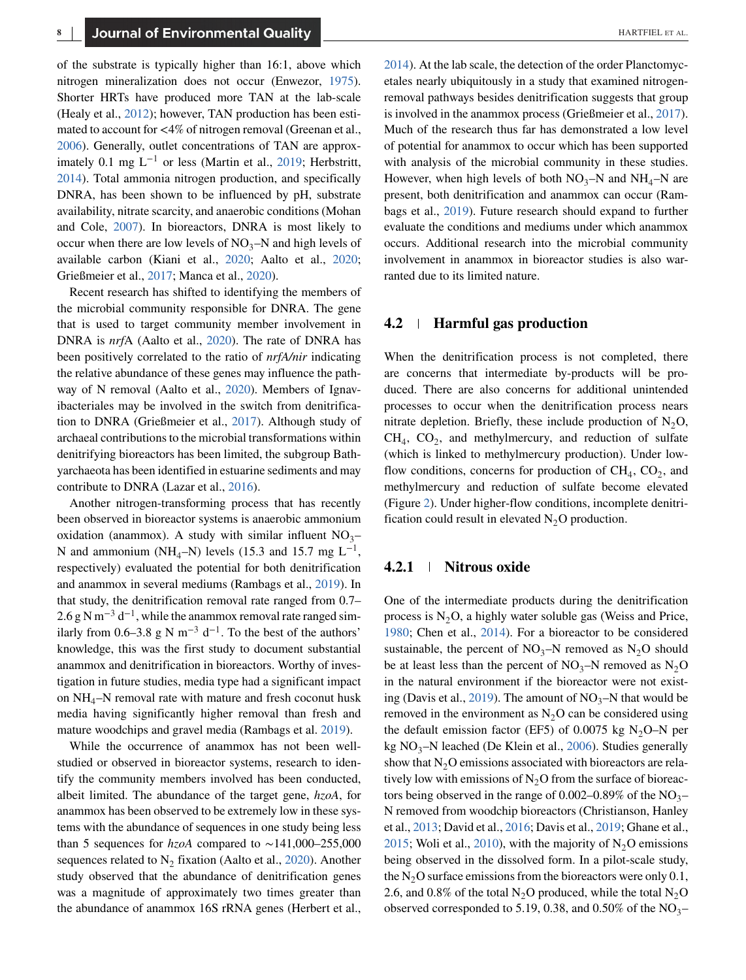of the substrate is typically higher than 16:1, above which nitrogen mineralization does not occur (Enwezor, [1975\)](#page-14-0). Shorter HRTs have produced more TAN at the lab-scale (Healy et al., [2012\)](#page-15-0); however, TAN production has been estimated to account for *<*4% of nitrogen removal (Greenan et al., [2006\)](#page-14-0). Generally, outlet concentrations of TAN are approximately 0.1 mg  $L^{-1}$  or less (Martin et al., [2019;](#page-16-0) Herbstritt, [2014\)](#page-15-0). Total ammonia nitrogen production, and specifically DNRA, has been shown to be influenced by pH, substrate availability, nitrate scarcity, and anaerobic conditions (Mohan and Cole, [2007\)](#page-16-0). In bioreactors, DNRA is most likely to occur when there are low levels of  $NO_3-N$  and high levels of available carbon (Kiani et al., [2020;](#page-15-0) Aalto et al., [2020;](#page-13-0) Grießmeier et al., [2017;](#page-14-0) Manca et al., [2020\)](#page-16-0).

Recent research has shifted to identifying the members of the microbial community responsible for DNRA. The gene that is used to target community member involvement in DNRA is *nrf*A (Aalto et al., [2020\)](#page-13-0). The rate of DNRA has been positively correlated to the ratio of *nrfA/nir* indicating the relative abundance of these genes may influence the pathway of N removal (Aalto et al., [2020\)](#page-13-0). Members of Ignavibacteriales may be involved in the switch from denitrification to DNRA (Grießmeier et al., [2017\)](#page-14-0). Although study of archaeal contributions to the microbial transformations within denitrifying bioreactors has been limited, the subgroup Bathyarchaeota has been identified in estuarine sediments and may contribute to DNRA (Lazar et al., [2016\)](#page-16-0).

Another nitrogen-transforming process that has recently been observed in bioreactor systems is anaerobic ammonium oxidation (anammox). A study with similar influent  $NO_3-$ N and ammonium (NH<sub>4</sub>–N) levels (15.3 and 15.7 mg L<sup>-1</sup>, respectively) evaluated the potential for both denitrification and anammox in several mediums (Rambags et al., [2019\)](#page-16-0). In that study, the denitrification removal rate ranged from 0.7– 2.6 g N m<sup>-3</sup> d<sup>-1</sup>, while the anammox removal rate ranged similarly from 0.6–3.8 g N m<sup>-3</sup> d<sup>-1</sup>. To the best of the authors' knowledge, this was the first study to document substantial anammox and denitrification in bioreactors. Worthy of investigation in future studies, media type had a significant impact on  $NH_4$ –N removal rate with mature and fresh coconut husk media having significantly higher removal than fresh and mature woodchips and gravel media (Rambags et al. [2019\)](#page-16-0).

While the occurrence of anammox has not been wellstudied or observed in bioreactor systems, research to identify the community members involved has been conducted, albeit limited. The abundance of the target gene, *hzoA*, for anammox has been observed to be extremely low in these systems with the abundance of sequences in one study being less than 5 sequences for *hzoA* compared to ∼141,000–255,000 sequences related to  $N_2$  fixation (Aalto et al., [2020\)](#page-13-0). Another study observed that the abundance of denitrification genes was a magnitude of approximately two times greater than the abundance of anammox 16S rRNA genes (Herbert et al.,

[2014\)](#page-15-0). At the lab scale, the detection of the order Planctomycetales nearly ubiquitously in a study that examined nitrogenremoval pathways besides denitrification suggests that group is involved in the anammox process (Grießmeier et al., [2017\)](#page-14-0). Much of the research thus far has demonstrated a low level of potential for anammox to occur which has been supported with analysis of the microbial community in these studies. However, when high levels of both  $NO_3-N$  and  $NH_4-N$  are present, both denitrification and anammox can occur (Rambags et al., [2019\)](#page-16-0). Future research should expand to further evaluate the conditions and mediums under which anammox occurs. Additional research into the microbial community involvement in anammox in bioreactor studies is also warranted due to its limited nature.

## **4.2 Harmful gas production**

When the denitrification process is not completed, there are concerns that intermediate by-products will be produced. There are also concerns for additional unintended processes to occur when the denitrification process nears nitrate depletion. Briefly, these include production of  $N_2O$ ,  $CH<sub>4</sub>$ ,  $CO<sub>2</sub>$ , and methylmercury, and reduction of sulfate (which is linked to methylmercury production). Under lowflow conditions, concerns for production of  $CH<sub>4</sub>, CO<sub>2</sub>$ , and methylmercury and reduction of sulfate become elevated (Figure [2\)](#page-8-0). Under higher-flow conditions, incomplete denitrification could result in elevated  $N_2O$  production.

#### **4.2.1 Nitrous oxide**

One of the intermediate products during the denitrification process is  $N<sub>2</sub>O$ , a highly water soluble gas (Weiss and Price, [1980;](#page-17-0) Chen et al., [2014\)](#page-13-0). For a bioreactor to be considered sustainable, the percent of  $NO_3-N$  removed as  $N_2O$  should be at least less than the percent of  $NO_3-N$  removed as  $N_2O$ in the natural environment if the bioreactor were not exist-ing (Davis et al., [2019\)](#page-14-0). The amount of  $NO_3-N$  that would be removed in the environment as  $N_2O$  can be considered using the default emission factor (EF5) of 0.0075 kg N<sub>2</sub>O–N per kg NO<sub>3</sub>–N leached (De Klein et al., [2006\)](#page-14-0). Studies generally show that  $N<sub>2</sub>O$  emissions associated with bioreactors are relatively low with emissions of  $N_2O$  from the surface of bioreactors being observed in the range of  $0.002-0.89\%$  of the NO<sub>3</sub>– N removed from woodchip bioreactors (Christianson, Hanley et al., [2013;](#page-13-0) David et al., [2016;](#page-14-0) Davis et al., [2019;](#page-14-0) Ghane et al., [2015;](#page-14-0) Woli et al., [2010\)](#page-17-0), with the majority of  $N_2O$  emissions being observed in the dissolved form. In a pilot-scale study, the  $N<sub>2</sub>O$  surface emissions from the bioreactors were only 0.1, 2.6, and 0.8% of the total  $N_2O$  produced, while the total  $N_2O$ observed corresponded to 5.19, 0.38, and 0.50% of the  $NO_3-$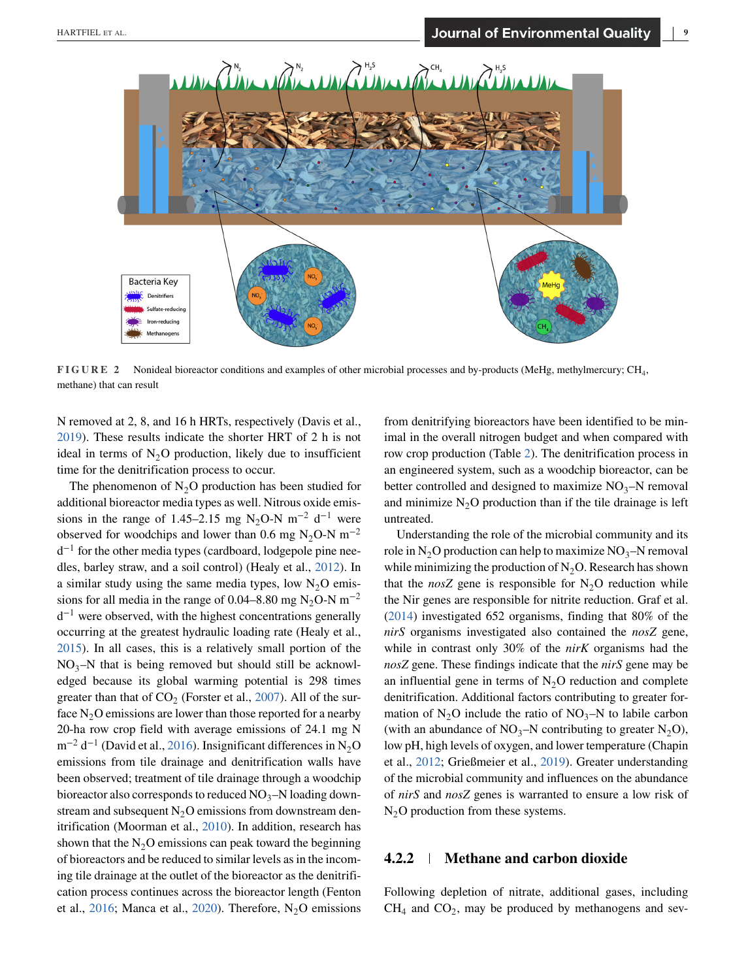<span id="page-8-0"></span>

**FIGURE 2** Nonideal bioreactor conditions and examples of other microbial processes and by-products (MeHg, methylmercury; CH4, methane) that can result

N removed at 2, 8, and 16 h HRTs, respectively (Davis et al., [2019\)](#page-14-0). These results indicate the shorter HRT of 2 h is not ideal in terms of  $N_2O$  production, likely due to insufficient time for the denitrification process to occur.

The phenomenon of  $N_2O$  production has been studied for additional bioreactor media types as well. Nitrous oxide emissions in the range of 1.45–2.15 mg N<sub>2</sub>O-N m<sup>-2</sup> d<sup>-1</sup> were observed for woodchips and lower than 0.6 mg N<sub>2</sub>O-N m<sup>-2</sup>  $d^{-1}$  for the other media types (cardboard, lodgepole pine needles, barley straw, and a soil control) (Healy et al., [2012\)](#page-15-0). In a similar study using the same media types, low  $N_2O$  emissions for all media in the range of 0.04–8.80 mg N<sub>2</sub>O-N m<sup>-2</sup>  $d^{-1}$  were observed, with the highest concentrations generally occurring at the greatest hydraulic loading rate (Healy et al., [2015\)](#page-15-0). In all cases, this is a relatively small portion of the  $NO_3-N$  that is being removed but should still be acknowledged because its global warming potential is 298 times greater than that of  $CO<sub>2</sub>$  (Forster et al., [2007\)](#page-14-0). All of the surface  $N_2O$  emissions are lower than those reported for a nearby 20-ha row crop field with average emissions of 24.1 mg N m<sup>-2</sup> d<sup>-1</sup> (David et al., [2016\)](#page-14-0). Insignificant differences in N<sub>2</sub>O emissions from tile drainage and denitrification walls have been observed; treatment of tile drainage through a woodchip bioreactor also corresponds to reduced  $NO_3-N$  loading downstream and subsequent  $N_2O$  emissions from downstream denitrification (Moorman et al., [2010\)](#page-16-0). In addition, research has shown that the  $N<sub>2</sub>O$  emissions can peak toward the beginning of bioreactors and be reduced to similar levels as in the incoming tile drainage at the outlet of the bioreactor as the denitrification process continues across the bioreactor length (Fenton et al., [2016;](#page-14-0) Manca et al., [2020\)](#page-16-0). Therefore,  $N_2O$  emissions

from denitrifying bioreactors have been identified to be minimal in the overall nitrogen budget and when compared with row crop production (Table [2\)](#page-9-0). The denitrification process in an engineered system, such as a woodchip bioreactor, can be better controlled and designed to maximize  $NO_3-N$  removal and minimize  $N<sub>2</sub>O$  production than if the tile drainage is left untreated.

Understanding the role of the microbial community and its role in N<sub>2</sub>O production can help to maximize  $NO_3-N$  removal while minimizing the production of  $N_2O$ . Research has shown that the *nosZ* gene is responsible for  $N_2O$  reduction while the Nir genes are responsible for nitrite reduction. Graf et al. [\(2014\)](#page-14-0) investigated 652 organisms, finding that 80% of the *nirS* organisms investigated also contained the *nosZ* gene, while in contrast only 30% of the *nirK* organisms had the *nosZ* gene. These findings indicate that the *nirS* gene may be an influential gene in terms of  $N<sub>2</sub>O$  reduction and complete denitrification. Additional factors contributing to greater formation of  $N_2O$  include the ratio of  $NO_3-N$  to labile carbon (with an abundance of  $NO_3-N$  contributing to greater  $N_2O$ ), low pH, high levels of oxygen, and lower temperature (Chapin et al., [2012;](#page-13-0) Grießmeier et al., [2019\)](#page-15-0). Greater understanding of the microbial community and influences on the abundance of *nirS* and *nosZ* genes is warranted to ensure a low risk of  $N<sub>2</sub>O$  production from these systems.

### **4.2.2 Methane and carbon dioxide**

Following depletion of nitrate, additional gases, including  $CH<sub>4</sub>$  and  $CO<sub>2</sub>$ , may be produced by methanogens and sev-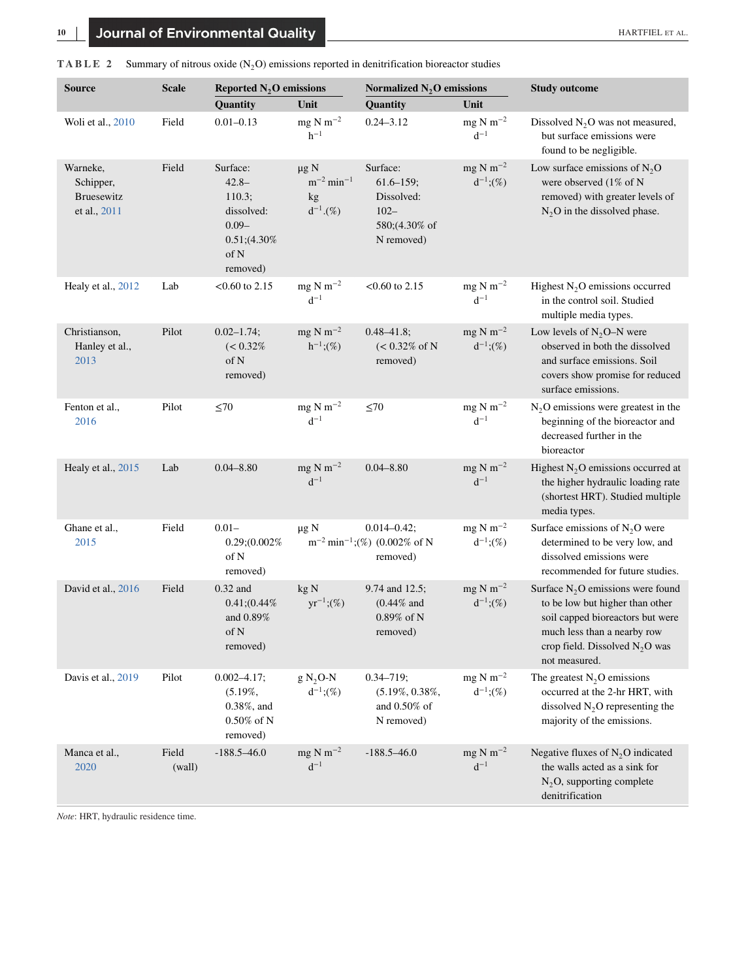| <b>Source</b>                                              | <b>Scale</b>    | Reported $N_2O$ emissions                                                                       |                                                                | Normalized $N_2O$ emissions                                                        |                                                    | <b>Study outcome</b>                                                                                                                                                                           |
|------------------------------------------------------------|-----------------|-------------------------------------------------------------------------------------------------|----------------------------------------------------------------|------------------------------------------------------------------------------------|----------------------------------------------------|------------------------------------------------------------------------------------------------------------------------------------------------------------------------------------------------|
|                                                            |                 | Quantity                                                                                        | Unit                                                           | Quantity                                                                           | Unit                                               |                                                                                                                                                                                                |
| Woli et al., 2010                                          | Field           | $0.01 - 0.13$                                                                                   | $mg \text{ N m}^{-2}$<br>$h^{-1}$                              | $0.24 - 3.12$                                                                      | mg N m <sup><math>-2</math></sup><br>$d^{-1}$      | Dissolved $N_2O$ was not measured,<br>but surface emissions were<br>found to be negligible.                                                                                                    |
| Warneke,<br>Schipper,<br><b>Bruesewitz</b><br>et al., 2011 | Field           | Surface:<br>$42.8 -$<br>110.3;<br>dissolved:<br>$0.09 -$<br>$0.51; (4.30\%$<br>of N<br>removed) | $\mu$ g N<br>$m^{-2}$ min <sup>-1</sup><br>kg<br>$d^{-1}.$ (%) | Surface:<br>$61.6 - 159$ ;<br>Dissolved:<br>$102 -$<br>580;(4.30% of<br>N removed) | $mg N m^{-2}$<br>$d^{-1}$ ;(%)                     | Low surface emissions of $N_2O$<br>were observed (1% of N<br>removed) with greater levels of<br>$N2O$ in the dissolved phase.                                                                  |
| Healy et al., 2012                                         | Lab             | $< 0.60$ to 2.15                                                                                | $mg \text{ N m}^{-2}$<br>$d^{-1}$                              | $<$ 0.60 to 2.15                                                                   | mg N m <sup><math>-2</math></sup><br>$d^{-1}$      | Highest $N_2O$ emissions occurred<br>in the control soil. Studied<br>multiple media types.                                                                                                     |
| Christianson,<br>Hanley et al.,<br>2013                    | Pilot           | $0.02 - 1.74;$<br>$(< 0.32\%$<br>of N<br>removed)                                               | $mg \text{ N m}^{-2}$<br>$h^{-1}$ ;(%)                         | $0.48 - 41.8$ ;<br>$(< 0.32\% \text{ of N})$<br>removed)                           | $mg \text{ N m}^{-2}$<br>$d^{-1}$ ;(%)             | Low levels of $N_2O-N$ were<br>observed in both the dissolved<br>and surface emissions. Soil<br>covers show promise for reduced<br>surface emissions.                                          |
| Fenton et al.,<br>2016                                     | Pilot           | $\leq 70$                                                                                       | $mg N m^{-2}$<br>$d^{-1}$                                      | $\leq 70$                                                                          | mg N m <sup><math>-2</math></sup><br>$d^{-1}$      | $N2O$ emissions were greatest in the<br>beginning of the bioreactor and<br>decreased further in the<br>bioreactor                                                                              |
| Healy et al., 2015                                         | Lab             | $0.04 - 8.80$                                                                                   | $mg \text{ N m}^{-2}$<br>$d^{-1}$                              | $0.04 - 8.80$                                                                      | $mg \text{ N m}^{-2}$<br>$d^{-1}$                  | Highest $N_2O$ emissions occurred at<br>the higher hydraulic loading rate<br>(shortest HRT). Studied multiple<br>media types.                                                                  |
| Ghane et al.,<br>2015                                      | Field           | $0.01 -$<br>$0.29(0.002\%$<br>of N<br>removed)                                                  | $\mu$ g N                                                      | $0.014 - 0.42$ ;<br>$m^{-2}$ min <sup>-1</sup> ;(%) (0.002% of N<br>removed)       | mg N m <sup><math>-2</math></sup><br>$d^{-1}$ ;(%) | Surface emissions of $N_2O$ were<br>determined to be very low, and<br>dissolved emissions were<br>recommended for future studies.                                                              |
| David et al., 2016                                         | Field           | $0.32$ and<br>0.41; (0.44%<br>and 0.89%<br>of $N$<br>removed)                                   | kgN<br>$yr^{-1}; (\%)$                                         | 9.74 and 12.5;<br>$(0.44\%$ and<br>$0.89\%$ of N<br>removed)                       | $mg \text{ N m}^{-2}$<br>$d^{-1}$ ;(%)             | Surface $N_2O$ emissions were found<br>to be low but higher than other<br>soil capped bioreactors but were<br>much less than a nearby row<br>crop field. Dissolved $N_2O$ was<br>not measured. |
| Davis et al., 2019                                         | Pilot           | $0.002 - 4.17;$<br>$(5.19\%,$<br>0.38%, and<br>$0.50\%$ of N<br>removed)                        | $g N2$ O-N<br>$d^{-1}$ ;(%)                                    | $0.34 - 719;$<br>$(5.19\%, 0.38\%,$<br>and $0.50\%$ of<br>N removed)               | $mg \text{ N m}^{-2}$<br>$d^{-1}$ ;(%)             | The greatest $N_2O$ emissions<br>occurred at the 2-hr HRT, with<br>dissolved $N_2O$ representing the<br>majority of the emissions.                                                             |
| Manca et al.,<br>2020                                      | Field<br>(wall) | $-188.5 - 46.0$                                                                                 | mg N m <sup><math>-2</math></sup><br>$d^{-1}$                  | $-188.5 - 46.0$                                                                    | $mg \text{ N m}^{-2}$<br>$d^{-1}$                  | Negative fluxes of $N_2O$ indicated<br>the walls acted as a sink for<br>$N_2O$ , supporting complete<br>denitrification                                                                        |

<span id="page-9-0"></span>

| <b>TABLE</b> 2 Summary of nitrous oxide $(N_2O)$ emissions reported in denitrification bioreactor studies |  |
|-----------------------------------------------------------------------------------------------------------|--|
|-----------------------------------------------------------------------------------------------------------|--|

*Note*: HRT, hydraulic residence time.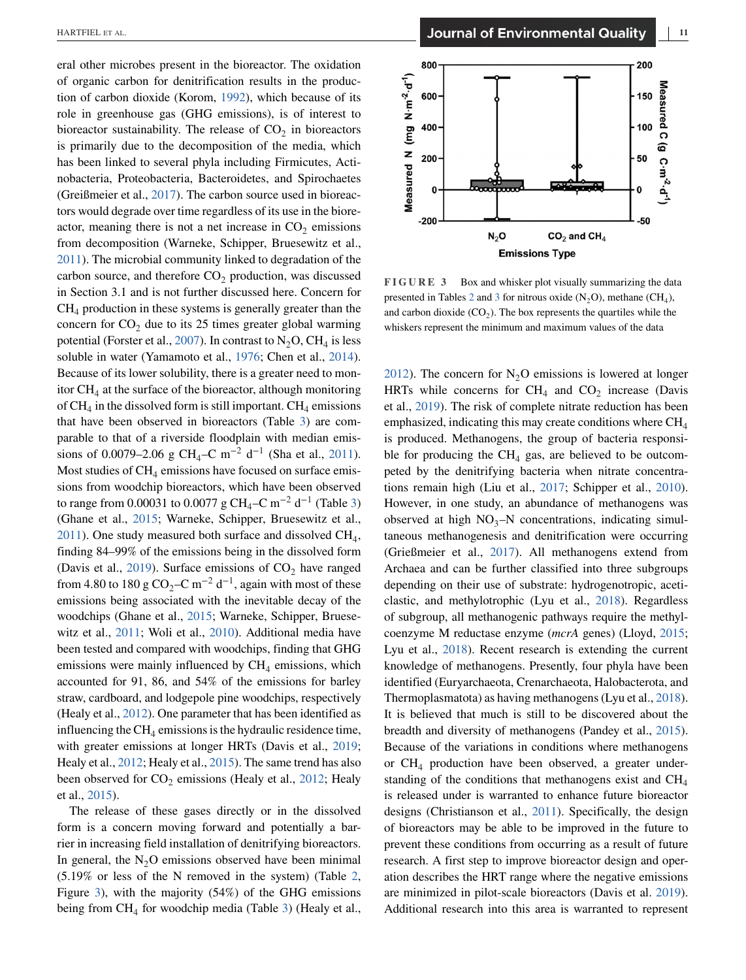eral other microbes present in the bioreactor. The oxidation of organic carbon for denitrification results in the production of carbon dioxide (Korom, [1992\)](#page-15-0), which because of its role in greenhouse gas (GHG emissions), is of interest to bioreactor sustainability. The release of  $CO<sub>2</sub>$  in bioreactors is primarily due to the decomposition of the media, which has been linked to several phyla including Firmicutes, Actinobacteria, Proteobacteria, Bacteroidetes, and Spirochaetes (Greißmeier et al., [2017\)](#page-14-0). The carbon source used in bioreactors would degrade over time regardless of its use in the bioreactor, meaning there is not a net increase in  $CO<sub>2</sub>$  emissions from decomposition (Warneke, Schipper, Bruesewitz et al., [2011\)](#page-17-0). The microbial community linked to degradation of the carbon source, and therefore  $CO<sub>2</sub>$  production, was discussed in Section 3.1 and is not further discussed here. Concern for  $CH<sub>4</sub>$  production in these systems is generally greater than the concern for  $CO<sub>2</sub>$  due to its 25 times greater global warming potential (Forster et al., [2007\)](#page-14-0). In contrast to  $N_2O$ , CH<sub>4</sub> is less soluble in water (Yamamoto et al., [1976;](#page-17-0) Chen et al., [2014\)](#page-13-0). Because of its lower solubility, there is a greater need to monitor  $CH<sub>4</sub>$  at the surface of the bioreactor, although monitoring of  $CH_4$  in the dissolved form is still important.  $CH_4$  emissions that have been observed in bioreactors (Table [3\)](#page-11-0) are comparable to that of a riverside floodplain with median emis-sions of 0.0079–2.06 g CH<sub>4</sub>–C m<sup>-2</sup> d<sup>-1</sup> (Sha et al., [2011\)](#page-17-0). Most studies of  $CH_4$  emissions have focused on surface emissions from woodchip bioreactors, which have been observed to range from 0.00031 to 0.0077 g CH<sub>4</sub>–C m<sup>-2</sup> d<sup>-1</sup> (Table [3\)](#page-11-0) (Ghane et al., [2015;](#page-14-0) Warneke, Schipper, Bruesewitz et al.,  $2011$ ). One study measured both surface and dissolved CH<sub>4</sub>, finding 84–99% of the emissions being in the dissolved form (Davis et al.,  $2019$ ). Surface emissions of  $CO<sub>2</sub>$  have ranged from 4.80 to 180 g CO<sub>2</sub>–C m<sup>-2</sup> d<sup>-1</sup>, again with most of these emissions being associated with the inevitable decay of the woodchips (Ghane et al., [2015;](#page-14-0) Warneke, Schipper, Bruesewitz et al., [2011;](#page-17-0) Woli et al., [2010\)](#page-17-0). Additional media have been tested and compared with woodchips, finding that GHG emissions were mainly influenced by  $CH<sub>4</sub>$  emissions, which accounted for 91, 86, and 54% of the emissions for barley straw, cardboard, and lodgepole pine woodchips, respectively (Healy et al., [2012\)](#page-15-0). One parameter that has been identified as influencing the  $CH<sub>4</sub>$  emissions is the hydraulic residence time, with greater emissions at longer HRTs (Davis et al., [2019;](#page-14-0) Healy et al., [2012;](#page-15-0) Healy et al., [2015\)](#page-15-0). The same trend has also been observed for  $CO_2$  emissions (Healy et al., [2012;](#page-15-0) Healy et al., [2015\)](#page-15-0).

The release of these gases directly or in the dissolved form is a concern moving forward and potentially a barrier in increasing field installation of denitrifying bioreactors. In general, the  $N<sub>2</sub>O$  emissions observed have been minimal (5.19% or less of the N removed in the system) (Table [2,](#page-9-0) Figure 3), with the majority (54%) of the GHG emissions being from  $CH_4$  for woodchip media (Table [3\)](#page-11-0) (Healy et al.,



**FIGURE 3** Box and whisker plot visually summarizing the data presented in Tables [2](#page-9-0) and [3](#page-11-0) for nitrous oxide  $(N_2O)$ , methane  $(CH_4)$ , and carbon dioxide  $(CO<sub>2</sub>)$ . The box represents the quartiles while the whiskers represent the minimum and maximum values of the data

[2012\)](#page-15-0). The concern for  $N<sub>2</sub>O$  emissions is lowered at longer HRTs while concerns for  $CH_4$  and  $CO_2$  increase (Davis et al., [2019\)](#page-14-0). The risk of complete nitrate reduction has been emphasized, indicating this may create conditions where  $CH<sub>4</sub>$ is produced. Methanogens, the group of bacteria responsible for producing the  $CH<sub>4</sub>$  gas, are believed to be outcompeted by the denitrifying bacteria when nitrate concentrations remain high (Liu et al., [2017;](#page-16-0) Schipper et al., [2010\)](#page-16-0). However, in one study, an abundance of methanogens was observed at high  $NO_3-N$  concentrations, indicating simultaneous methanogenesis and denitrification were occurring (Grießmeier et al., [2017\)](#page-14-0). All methanogens extend from Archaea and can be further classified into three subgroups depending on their use of substrate: hydrogenotropic, aceticlastic, and methylotrophic (Lyu et al., [2018\)](#page-16-0). Regardless of subgroup, all methanogenic pathways require the methylcoenzyme M reductase enzyme (*mcrA* genes) (Lloyd, [2015;](#page-16-0) Lyu et al., [2018\)](#page-16-0). Recent research is extending the current knowledge of methanogens. Presently, four phyla have been identified (Euryarchaeota, Crenarchaeota, Halobacterota, and Thermoplasmatota) as having methanogens (Lyu et al., [2018\)](#page-16-0). It is believed that much is still to be discovered about the breadth and diversity of methanogens (Pandey et al., [2015\)](#page-16-0). Because of the variations in conditions where methanogens or  $CH<sub>4</sub>$  production have been observed, a greater understanding of the conditions that methanogens exist and  $CH<sub>4</sub>$ is released under is warranted to enhance future bioreactor designs (Christianson et al., [2011\)](#page-13-0). Specifically, the design of bioreactors may be able to be improved in the future to prevent these conditions from occurring as a result of future research. A first step to improve bioreactor design and operation describes the HRT range where the negative emissions are minimized in pilot-scale bioreactors (Davis et al. [2019\)](#page-14-0). Additional research into this area is warranted to represent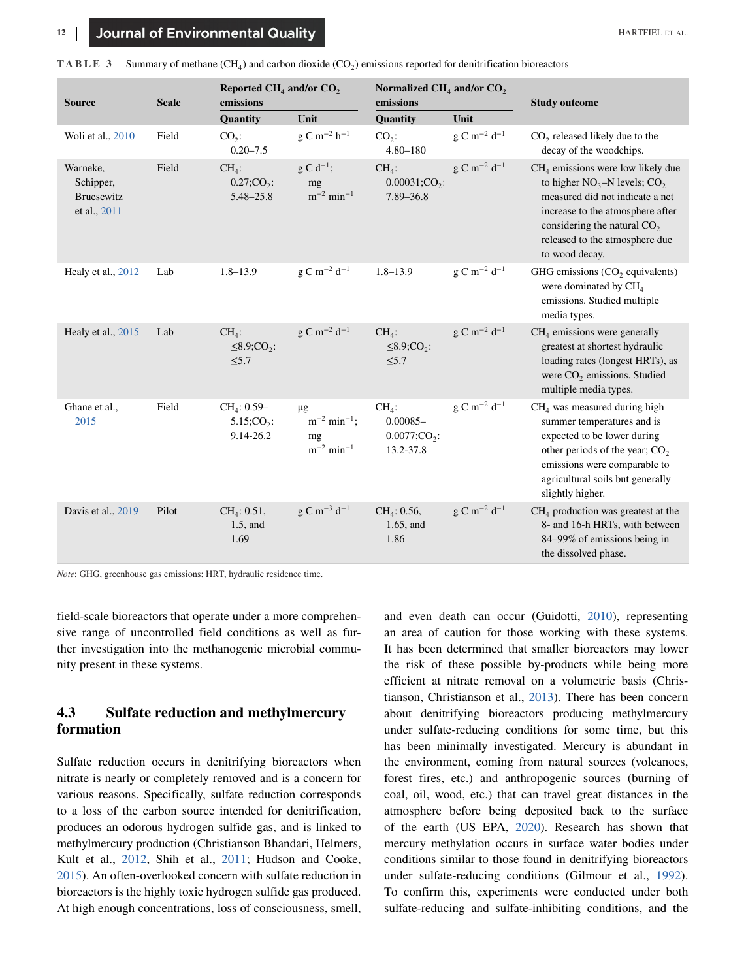| <b>Source</b>                                       | Reported $CH4$ and/or $CO2$<br>Normalized $CH4$ and/or $CO2$<br><b>Scale</b><br>emissions<br>emissions |                                                        |                                                                             | <b>Study outcome</b>                                               |                            |                                                                                                                                                                                                                                      |
|-----------------------------------------------------|--------------------------------------------------------------------------------------------------------|--------------------------------------------------------|-----------------------------------------------------------------------------|--------------------------------------------------------------------|----------------------------|--------------------------------------------------------------------------------------------------------------------------------------------------------------------------------------------------------------------------------------|
|                                                     |                                                                                                        | Quantity                                               | Unit                                                                        | Quantity                                                           | Unit                       |                                                                                                                                                                                                                                      |
| Woli et al., 2010                                   | Field                                                                                                  | $CO2$ :<br>$0.20 - 7.5$                                | $g C m^{-2} h^{-1}$                                                         | $CO2$ :<br>$4.80 - 180$                                            | $g C m^{-2} d^{-1}$        | $CO2$ released likely due to the<br>decay of the woodchips.                                                                                                                                                                          |
| Warneke,<br>Schipper,<br>Bruesewitz<br>et al., 2011 | Field                                                                                                  | $CH4$ :<br>0.27; CO <sub>2</sub> :<br>$5.48 - 25.8$    | $g C d^{-1};$<br>mg<br>$m^{-2}$ min <sup>-1</sup>                           | $CH4$ :<br>0.00031; CO <sub>2</sub> :<br>$7.89 - 36.8$             | $g C m^{-2} d^{-1}$        | $CH4$ emissions were low likely due<br>to higher $NO_3-N$ levels; $CO_2$<br>measured did not indicate a net<br>increase to the atmosphere after<br>considering the natural $CO2$<br>released to the atmosphere due<br>to wood decay. |
| Healy et al., 2012                                  | Lab                                                                                                    | $1.8 - 13.9$                                           | $g C m^{-2} d^{-1}$                                                         | $1.8 - 13.9$                                                       | g C $\rm m^{-2}$ d $^{-1}$ | GHG emissions $(CO2)$ equivalents)<br>were dominated by CH <sub>4</sub><br>emissions. Studied multiple<br>media types.                                                                                                               |
| Healy et al., 2015                                  | Lab                                                                                                    | $CH4$ :<br>$\leq$ 8.9;CO <sub>2</sub> :<br>$\leq 5.7$  | $g \text{ C m}^{-2} d^{-1}$                                                 | $CH4$ :<br>$\leq$ 8.9;CO <sub>2</sub> :<br>$\leq 5.7$              | $g C m^{-2} d^{-1}$        | $CH4$ emissions were generally<br>greatest at shortest hydraulic<br>loading rates (longest HRTs), as<br>were CO <sub>2</sub> emissions. Studied<br>multiple media types.                                                             |
| Ghane et al.,<br>2015                               | Field                                                                                                  | $CH_4$ : 0.59-<br>5.15; CO <sub>2</sub> :<br>9.14-26.2 | $\mu$ g<br>$m^{-2}$ min <sup>-1</sup> ;<br>mg<br>$m^{-2}$ min <sup>-1</sup> | $CH4$ :<br>$0.00085 -$<br>$0.0077$ ;CO <sub>2</sub> :<br>13.2-37.8 | $g C m^{-2} d^{-1}$        | $CH4$ was measured during high<br>summer temperatures and is<br>expected to be lower during<br>other periods of the year; $CO2$<br>emissions were comparable to<br>agricultural soils but generally<br>slightly higher.              |
| Davis et al., 2019                                  | Pilot                                                                                                  | $CH_4$ : 0.51,<br>$1.5$ , and<br>1.69                  | $g C m^{-3} d^{-1}$                                                         | CH <sub>4</sub> : 0.56,<br>$1.65$ , and<br>1.86                    | $g C m^{-2} d^{-1}$        | $CH4$ production was greatest at the<br>8- and 16-h HRTs, with between<br>84–99% of emissions being in<br>the dissolved phase.                                                                                                       |

<span id="page-11-0"></span>**TABLE 3** Summary of methane (CH<sub>4</sub>) and carbon dioxide (CO<sub>2</sub>) emissions reported for denitrification bioreactors

*Note*: GHG, greenhouse gas emissions; HRT, hydraulic residence time.

field-scale bioreactors that operate under a more comprehensive range of uncontrolled field conditions as well as further investigation into the methanogenic microbial community present in these systems.

## **4.3 Sulfate reduction and methylmercury formation**

Sulfate reduction occurs in denitrifying bioreactors when nitrate is nearly or completely removed and is a concern for various reasons. Specifically, sulfate reduction corresponds to a loss of the carbon source intended for denitrification, produces an odorous hydrogen sulfide gas, and is linked to methylmercury production (Christianson Bhandari, Helmers, Kult et al., [2012,](#page-13-0) Shih et al., [2011;](#page-17-0) Hudson and Cooke, [2015\)](#page-15-0). An often-overlooked concern with sulfate reduction in bioreactors is the highly toxic hydrogen sulfide gas produced. At high enough concentrations, loss of consciousness, smell,

and even death can occur (Guidotti, [2010\)](#page-15-0), representing an area of caution for those working with these systems. It has been determined that smaller bioreactors may lower the risk of these possible by-products while being more efficient at nitrate removal on a volumetric basis (Christianson, Christianson et al., [2013\)](#page-13-0). There has been concern about denitrifying bioreactors producing methylmercury under sulfate-reducing conditions for some time, but this has been minimally investigated. Mercury is abundant in the environment, coming from natural sources (volcanoes, forest fires, etc.) and anthropogenic sources (burning of coal, oil, wood, etc.) that can travel great distances in the atmosphere before being deposited back to the surface of the earth (US EPA, [2020\)](#page-17-0). Research has shown that mercury methylation occurs in surface water bodies under conditions similar to those found in denitrifying bioreactors under sulfate-reducing conditions (Gilmour et al., [1992\)](#page-14-0). To confirm this, experiments were conducted under both sulfate-reducing and sulfate-inhibiting conditions, and the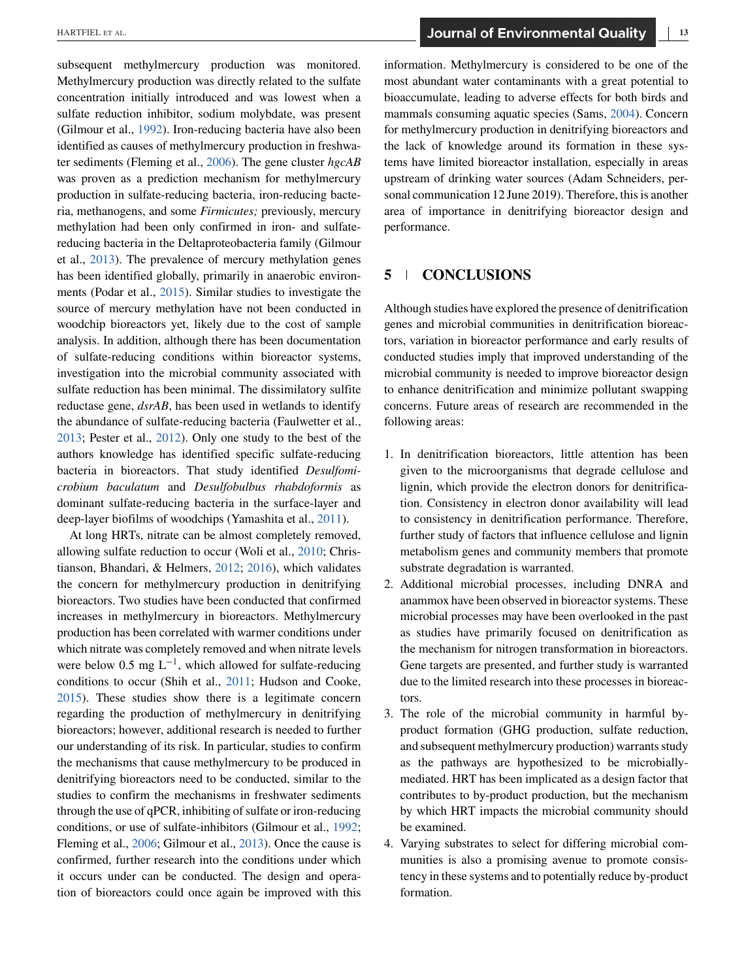subsequent methylmercury production was monitored. Methylmercury production was directly related to the sulfate concentration initially introduced and was lowest when a sulfate reduction inhibitor, sodium molybdate, was present (Gilmour et al., [1992\)](#page-14-0). Iron-reducing bacteria have also been identified as causes of methylmercury production in freshwater sediments (Fleming et al., [2006\)](#page-14-0). The gene cluster *hgcAB* was proven as a prediction mechanism for methylmercury production in sulfate-reducing bacteria, iron-reducing bacteria, methanogens, and some *Firmicutes;* previously, mercury methylation had been only confirmed in iron- and sulfatereducing bacteria in the Deltaproteobacteria family (Gilmour et al., [2013\)](#page-14-0). The prevalence of mercury methylation genes has been identified globally, primarily in anaerobic environments (Podar et al., [2015\)](#page-16-0). Similar studies to investigate the source of mercury methylation have not been conducted in woodchip bioreactors yet, likely due to the cost of sample analysis. In addition, although there has been documentation of sulfate-reducing conditions within bioreactor systems, investigation into the microbial community associated with sulfate reduction has been minimal. The dissimilatory sulfite reductase gene, *dsrAB*, has been used in wetlands to identify the abundance of sulfate-reducing bacteria (Faulwetter et al., [2013;](#page-14-0) Pester et al., [2012\)](#page-16-0). Only one study to the best of the authors knowledge has identified specific sulfate-reducing bacteria in bioreactors. That study identified *Desulfomicrobium baculatum* and *Desulfobulbus rhabdoformis* as dominant sulfate-reducing bacteria in the surface-layer and deep-layer biofilms of woodchips (Yamashita et al., [2011\)](#page-17-0).

At long HRTs, nitrate can be almost completely removed, allowing sulfate reduction to occur (Woli et al., [2010;](#page-17-0) Christianson, Bhandari, & Helmers, [2012;](#page-13-0) [2016\)](#page-14-0), which validates the concern for methylmercury production in denitrifying bioreactors. Two studies have been conducted that confirmed increases in methylmercury in bioreactors. Methylmercury production has been correlated with warmer conditions under which nitrate was completely removed and when nitrate levels were below 0.5 mg  $L^{-1}$ , which allowed for sulfate-reducing conditions to occur (Shih et al., [2011;](#page-17-0) Hudson and Cooke, [2015\)](#page-15-0). These studies show there is a legitimate concern regarding the production of methylmercury in denitrifying bioreactors; however, additional research is needed to further our understanding of its risk. In particular, studies to confirm the mechanisms that cause methylmercury to be produced in denitrifying bioreactors need to be conducted, similar to the studies to confirm the mechanisms in freshwater sediments through the use of qPCR, inhibiting of sulfate or iron-reducing conditions, or use of sulfate-inhibitors (Gilmour et al., [1992;](#page-14-0) Fleming et al., [2006;](#page-14-0) Gilmour et al., [2013\)](#page-14-0). Once the cause is confirmed, further research into the conditions under which it occurs under can be conducted. The design and operation of bioreactors could once again be improved with this

information. Methylmercury is considered to be one of the most abundant water contaminants with a great potential to bioaccumulate, leading to adverse effects for both birds and mammals consuming aquatic species (Sams, [2004\)](#page-16-0). Concern for methylmercury production in denitrifying bioreactors and the lack of knowledge around its formation in these systems have limited bioreactor installation, especially in areas upstream of drinking water sources (Adam Schneiders, personal communication 12 June 2019). Therefore, this is another area of importance in denitrifying bioreactor design and performance.

## **5 CONCLUSIONS**

Although studies have explored the presence of denitrification genes and microbial communities in denitrification bioreactors, variation in bioreactor performance and early results of conducted studies imply that improved understanding of the microbial community is needed to improve bioreactor design to enhance denitrification and minimize pollutant swapping concerns. Future areas of research are recommended in the following areas:

- 1. In denitrification bioreactors, little attention has been given to the microorganisms that degrade cellulose and lignin, which provide the electron donors for denitrification. Consistency in electron donor availability will lead to consistency in denitrification performance. Therefore, further study of factors that influence cellulose and lignin metabolism genes and community members that promote substrate degradation is warranted.
- 2. Additional microbial processes, including DNRA and anammox have been observed in bioreactor systems. These microbial processes may have been overlooked in the past as studies have primarily focused on denitrification as the mechanism for nitrogen transformation in bioreactors. Gene targets are presented, and further study is warranted due to the limited research into these processes in bioreactors.
- 3. The role of the microbial community in harmful byproduct formation (GHG production, sulfate reduction, and subsequent methylmercury production) warrants study as the pathways are hypothesized to be microbiallymediated. HRT has been implicated as a design factor that contributes to by-product production, but the mechanism by which HRT impacts the microbial community should be examined.
- 4. Varying substrates to select for differing microbial communities is also a promising avenue to promote consistency in these systems and to potentially reduce by-product formation.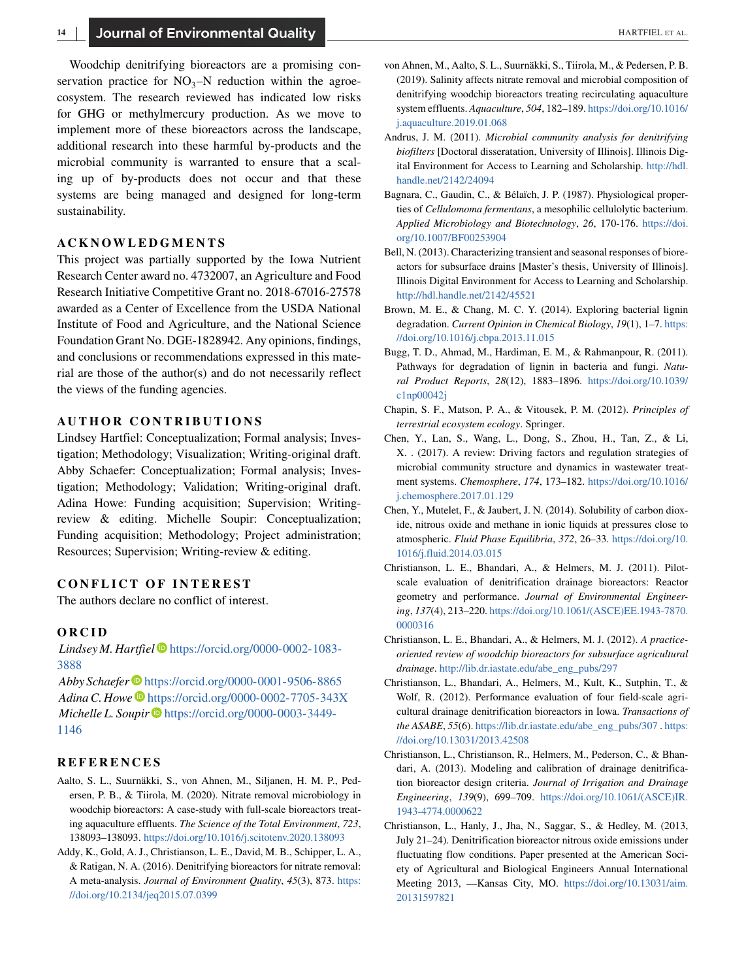<span id="page-13-0"></span>Woodchip denitrifying bioreactors are a promising conservation practice for  $NO_3-N$  reduction within the agroecosystem. The research reviewed has indicated low risks for GHG or methylmercury production. As we move to implement more of these bioreactors across the landscape, additional research into these harmful by-products and the microbial community is warranted to ensure that a scaling up of by-products does not occur and that these systems are being managed and designed for long-term sustainability.

#### **ACKNOWLEDGMENTS**

This project was partially supported by the Iowa Nutrient Research Center award no. 4732007, an Agriculture and Food Research Initiative Competitive Grant no. 2018-67016-27578 awarded as a Center of Excellence from the USDA National Institute of Food and Agriculture, and the National Science Foundation Grant No. DGE-1828942. Any opinions, findings, and conclusions or recommendations expressed in this material are those of the author(s) and do not necessarily reflect the views of the funding agencies.

## **AUTHOR CONTRIBUTIONS**

Lindsey Hartfiel: Conceptualization; Formal analysis; Investigation; Methodology; Visualization; Writing-original draft. Abby Schaefer: Conceptualization; Formal analysis; Investigation; Methodology; Validation; Writing-original draft. Adina Howe: Funding acquisition; Supervision; Writingreview & editing. Michelle Soupir: Conceptualization; Funding acquisition; Methodology; Project administration; Resources; Supervision; Writing-review & editing.

#### **CONFLICT OF INTEREST**

The authors declare no conflict of interest.

#### **ORCID**

*Lindsey M. Hartfiel* [https://orcid.org/0000-0002-1083-](https://orcid.org/0000-0002-1083-3888) [3888](https://orcid.org/0000-0002-1083-3888)

*Abby Schaefer* <https://orcid.org/0000-0001-9506-8865> Adina C. Howe<sup>D</sup> <https://orcid.org/0000-0002-7705-343X> *Michelle L. Soupir*  $\bullet$  [https://orcid.org/0000-0003-3449-](https://orcid.org/0000-0003-3449-1146) [1146](https://orcid.org/0000-0003-3449-1146)

#### **REFERENCES**

- Aalto, S. L., Suurnäkki, S., von Ahnen, M., Siljanen, H. M. P., Pedersen, P. B., & Tiirola, M. (2020). Nitrate removal microbiology in woodchip bioreactors: A case-study with full-scale bioreactors treating aquaculture effluents. *The Science of the Total Environment*, *723*, 138093–138093. <https://doi.org/10.1016/j.scitotenv.2020.138093>
- Addy, K., Gold, A. J., Christianson, L. E., David, M. B., Schipper, L. A., & Ratigan, N. A. (2016). Denitrifying bioreactors for nitrate removal: A meta-analysis. *Journal of Environment Quality*, *45*(3), 873. [https:](https://doi.org/10.2134/jeq2015.07.0399) [//doi.org/10.2134/jeq2015.07.0399](https://doi.org/10.2134/jeq2015.07.0399)
- von Ahnen, M., Aalto, S. L., Suurnäkki, S., Tiirola, M., & Pedersen, P. B. (2019). Salinity affects nitrate removal and microbial composition of denitrifying woodchip bioreactors treating recirculating aquaculture system effluents. *Aquaculture*, *504*, 182–189. [https://doi.org/10.1016/](https://doi.org/10.1016/j.aquaculture.2019.01.068) [j.aquaculture.2019.01.068](https://doi.org/10.1016/j.aquaculture.2019.01.068)
- Andrus, J. M. (2011). *Microbial community analysis for denitrifying biofilters* [Doctoral disseratation, University of Illinois]. Illinois Digital Environment for Access to Learning and Scholarship. [http://hdl.](http://hdl.handle.net/2142/24094) [handle.net/2142/24094](http://hdl.handle.net/2142/24094)
- Bagnara, C., Gaudin, C., & Bélaïch, J. P. (1987). Physiological properties of *Cellulomoma fermentans*, a mesophilic cellulolytic bacterium. *Applied Microbiology and Biotechnology*, *26*, 170-176. [https://doi.](https://doi.org/10.1007/BF00253904) [org/10.1007/BF00253904](https://doi.org/10.1007/BF00253904)
- Bell, N. (2013). Characterizing transient and seasonal responses of bioreactors for subsurface drains [Master's thesis, University of Illinois]. Illinois Digital Environment for Access to Learning and Scholarship. <http://hdl.handle.net/2142/45521>
- Brown, M. E., & Chang, M. C. Y. (2014). Exploring bacterial lignin degradation. *Current Opinion in Chemical Biology*, *19*(1), 1–7. [https:](https://doi.org/10.1016/j.cbpa.2013.11.015) [//doi.org/10.1016/j.cbpa.2013.11.015](https://doi.org/10.1016/j.cbpa.2013.11.015)
- Bugg, T. D., Ahmad, M., Hardiman, E. M., & Rahmanpour, R. (2011). Pathways for degradation of lignin in bacteria and fungi. *Natural Product Reports*, *28*(12), 1883–1896. [https://doi.org/10.1039/](https://doi.org/10.1039/c1np00042j) [c1np00042j](https://doi.org/10.1039/c1np00042j)
- Chapin, S. F., Matson, P. A., & Vitousek, P. M. (2012). *Principles of terrestrial ecosystem ecology*. Springer.
- Chen, Y., Lan, S., Wang, L., Dong, S., Zhou, H., Tan, Z., & Li, X. . (2017). A review: Driving factors and regulation strategies of microbial community structure and dynamics in wastewater treatment systems. *Chemosphere*, *174*, 173–182. [https://doi.org/10.1016/](https://doi.org/10.1016/j.chemosphere.2017.01.129) [j.chemosphere.2017.01.129](https://doi.org/10.1016/j.chemosphere.2017.01.129)
- Chen, Y., Mutelet, F., & Jaubert, J. N. (2014). Solubility of carbon dioxide, nitrous oxide and methane in ionic liquids at pressures close to atmospheric. *Fluid Phase Equilibria*, *372*, 26–33. [https://doi.org/10.](https://doi.org/10.1016/j.fluid.2014.03.015) [1016/j.fluid.2014.03.015](https://doi.org/10.1016/j.fluid.2014.03.015)
- Christianson, L. E., Bhandari, A., & Helmers, M. J. (2011). Pilotscale evaluation of denitrification drainage bioreactors: Reactor geometry and performance. *Journal of Environmental Engineering*, *137*(4), 213–220. [https://doi.org/10.1061/\(ASCE\)EE.1943-7870.](https://doi.org/10.1061/(ASCE)EE.1943-7870.0000316) [0000316](https://doi.org/10.1061/(ASCE)EE.1943-7870.0000316)
- Christianson, L. E., Bhandari, A., & Helmers, M. J. (2012). *A practiceoriented review of woodchip bioreactors for subsurface agricultural drainage*. [http://lib.dr.iastate.edu/abe\\_eng\\_pubs/297](http://lib.dr.iastate.edu/abe_eng_pubs/297)
- Christianson, L., Bhandari, A., Helmers, M., Kult, K., Sutphin, T., & Wolf, R. (2012). Performance evaluation of four field-scale agricultural drainage denitrification bioreactors in Iowa. *Transactions of the ASABE*, *55*(6). [https://lib.dr.iastate.edu/abe\\_eng\\_pubs/307](https://lib.dr.iastate.edu/abe_eng_pubs/307) . [https:](https://doi.org/10.13031/2013.42508) [//doi.org/10.13031/2013.42508](https://doi.org/10.13031/2013.42508)
- Christianson, L., Christianson, R., Helmers, M., Pederson, C., & Bhandari, A. (2013). Modeling and calibration of drainage denitrification bioreactor design criteria. *Journal of Irrigation and Drainage Engineering*, *139*(9), 699–709. [https://doi.org/10.1061/\(ASCE\)IR.](https://doi.org/10.1061/(ASCE)IR.1943-4774.0000622) [1943-4774.0000622](https://doi.org/10.1061/(ASCE)IR.1943-4774.0000622)
- Christianson, L., Hanly, J., Jha, N., Saggar, S., & Hedley, M. (2013, July 21–24). Denitrification bioreactor nitrous oxide emissions under fluctuating flow conditions. Paper presented at the American Society of Agricultural and Biological Engineers Annual International Meeting 2013, —Kansas City, MO. [https://doi.org/10.13031/aim.](https://doi.org/10.13031/aim.20131597821) [20131597821](https://doi.org/10.13031/aim.20131597821)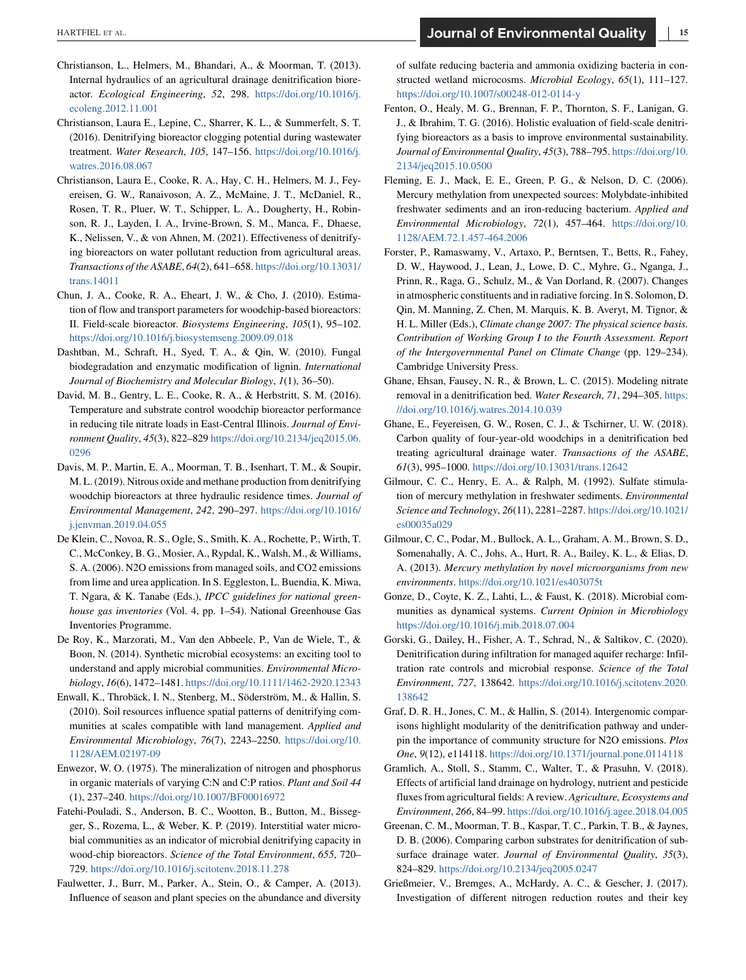- <span id="page-14-0"></span>Christianson, L., Helmers, M., Bhandari, A., & Moorman, T. (2013). Internal hydraulics of an agricultural drainage denitrification bioreactor. *Ecological Engineering*, *52*, 298. [https://doi.org/10.1016/j.](https://doi.org/10.1016/j.ecoleng.2012.11.001) [ecoleng.2012.11.001](https://doi.org/10.1016/j.ecoleng.2012.11.001)
- Christianson, Laura E., Lepine, C., Sharrer, K. L., & Summerfelt, S. T. (2016). Denitrifying bioreactor clogging potential during wastewater treatment. *Water Research*, *105*, 147–156. [https://doi.org/10.1016/j.](https://doi.org/10.1016/j.watres.2016.08.067) [watres.2016.08.067](https://doi.org/10.1016/j.watres.2016.08.067)
- Christianson, Laura E., Cooke, R. A., Hay, C. H., Helmers, M. J., Feyereisen, G. W., Ranaivoson, A. Z., McMaine, J. T., McDaniel, R., Rosen, T. R., Pluer, W. T., Schipper, L. A., Dougherty, H., Robinson, R. J., Layden, I. A., Irvine-Brown, S. M., Manca, F., Dhaese, K., Nelissen, V., & von Ahnen, M. (2021). Effectiveness of denitrifying bioreactors on water pollutant reduction from agricultural areas. *Transactions of the ASABE*, *64*(2), 641–658. [https://doi.org/10.13031/](https://doi.org/10.13031/trans.14011) [trans.14011](https://doi.org/10.13031/trans.14011)
- Chun, J. A., Cooke, R. A., Eheart, J. W., & Cho, J. (2010). Estimation of flow and transport parameters for woodchip-based bioreactors: II. Field-scale bioreactor. *Biosystems Engineering*, *105*(1), 95–102. <https://doi.org/10.1016/j.biosystemseng.2009.09.018>
- Dashtban, M., Schraft, H., Syed, T. A., & Qin, W. (2010). Fungal biodegradation and enzymatic modification of lignin. *International Journal of Biochemistry and Molecular Biology*, *1*(1), 36–50).
- David, M. B., Gentry, L. E., Cooke, R. A., & Herbstritt, S. M. (2016). Temperature and substrate control woodchip bioreactor performance in reducing tile nitrate loads in East-Central Illinois. *Journal of Environment Quality*, *45*(3), 822–829 [https://doi.org/10.2134/jeq2015.06.](https://doi.org/10.2134/jeq2015.06.0296) [0296](https://doi.org/10.2134/jeq2015.06.0296)
- Davis, M. P., Martin, E. A., Moorman, T. B., Isenhart, T. M., & Soupir, M. L. (2019). Nitrous oxide and methane production from denitrifying woodchip bioreactors at three hydraulic residence times. *Journal of Environmental Management*, *242*, 290–297. [https://doi.org/10.1016/](https://doi.org/10.1016/j.jenvman.2019.04.055) [j.jenvman.2019.04.055](https://doi.org/10.1016/j.jenvman.2019.04.055)
- De Klein, C., Novoa, R. S., Ogle, S., Smith, K. A., Rochette, P., Wirth, T. C., McConkey, B. G., Mosier, A., Rypdal, K., Walsh, M., & Williams, S. A. (2006). N2O emissions from managed soils, and CO2 emissions from lime and urea application. In S. Eggleston, L. Buendia, K. Miwa, T. Ngara, & K. Tanabe (Eds.), *IPCC guidelines for national greenhouse gas inventories* (Vol. 4, pp. 1–54). National Greenhouse Gas Inventories Programme.
- De Roy, K., Marzorati, M., Van den Abbeele, P., Van de Wiele, T., & Boon, N. (2014). Synthetic microbial ecosystems: an exciting tool to understand and apply microbial communities. *Environmental Microbiology*, *16*(6), 1472–1481. <https://doi.org/10.1111/1462-2920.12343>
- Enwall, K., Throbäck, I. N., Stenberg, M., Söderström, M., & Hallin, S. (2010). Soil resources influence spatial patterns of denitrifying communities at scales compatible with land management. *Applied and Environmental Microbiology*, *76*(7), 2243–2250. [https://doi.org/10.](https://doi.org/10.1128/AEM.02197-09) [1128/AEM.02197-09](https://doi.org/10.1128/AEM.02197-09)
- Enwezor, W. O. (1975). The mineralization of nitrogen and phosphorus in organic materials of varying C:N and C:P ratios. *Plant and Soil 44* (1), 237–240. <https://doi.org/10.1007/BF00016972>
- Fatehi-Pouladi, S., Anderson, B. C., Wootton, B., Button, M., Bissegger, S., Rozema, L., & Weber, K. P. (2019). Interstitial water microbial communities as an indicator of microbial denitrifying capacity in wood-chip bioreactors. *Science of the Total Environment*, *655*, 720– 729. <https://doi.org/10.1016/j.scitotenv.2018.11.278>
- Faulwetter, J., Burr, M., Parker, A., Stein, O., & Camper, A. (2013). Influence of season and plant species on the abundance and diversity

of sulfate reducing bacteria and ammonia oxidizing bacteria in constructed wetland microcosms. *Microbial Ecology*, *65*(1), 111–127. <https://doi.org/10.1007/s00248-012-0114-y>

- Fenton, O., Healy, M. G., Brennan, F. P., Thornton, S. F., Lanigan, G. J., & Ibrahim, T. G. (2016). Holistic evaluation of field-scale denitrifying bioreactors as a basis to improve environmental sustainability. *Journal of Environmental Quality*, *45*(3), 788–795. [https://doi.org/10.](https://doi.org/10.2134/jeq2015.10.0500) [2134/jeq2015.10.0500](https://doi.org/10.2134/jeq2015.10.0500)
- Fleming, E. J., Mack, E. E., Green, P. G., & Nelson, D. C. (2006). Mercury methylation from unexpected sources: Molybdate-inhibited freshwater sediments and an iron-reducing bacterium. *Applied and Environmental Microbiology*, *72*(1), 457–464. [https://doi.org/10.](https://doi.org/10.1128/AEM.72.1.457-464.2006) [1128/AEM.72.1.457-464.2006](https://doi.org/10.1128/AEM.72.1.457-464.2006)
- Forster, P., Ramaswamy, V., Artaxo, P., Berntsen, T., Betts, R., Fahey, D. W., Haywood, J., Lean, J., Lowe, D. C., Myhre, G., Nganga, J., Prinn, R., Raga, G., Schulz, M., & Van Dorland, R. (2007). Changes in atmospheric constituents and in radiative forcing. In S. Solomon, D. Qin, M. Manning, Z. Chen, M. Marquis, K. B. Averyt, M. Tignor, & H. L. Miller (Eds.), *Climate change 2007: The physical science basis. Contribution of Working Group I to the Fourth Assessment. Report of the Intergovernmental Panel on Climate Change* (pp. 129–234). Cambridge University Press.
- Ghane, Ehsan, Fausey, N. R., & Brown, L. C. (2015). Modeling nitrate removal in a denitrification bed. *Water Research*, *71*, 294–305. [https:](https://doi.org/10.1016/j.watres.2014.10.039) [//doi.org/10.1016/j.watres.2014.10.039](https://doi.org/10.1016/j.watres.2014.10.039)
- Ghane, E., Feyereisen, G. W., Rosen, C. J., & Tschirner, U. W. (2018). Carbon quality of four-year-old woodchips in a denitrification bed treating agricultural drainage water. *Transactions of the ASABE*, *61*(3), 995–1000. <https://doi.org/10.13031/trans.12642>
- Gilmour, C. C., Henry, E. A., & Ralph, M. (1992). Sulfate stimulation of mercury methylation in freshwater sediments. *Environmental Science and Technology*, *26*(11), 2281–2287. [https://doi.org/10.1021/](https://doi.org/10.1021/es00035a029) [es00035a029](https://doi.org/10.1021/es00035a029)
- Gilmour, C. C., Podar, M., Bullock, A. L., Graham, A. M., Brown, S. D., Somenahally, A. C., Johs, A., Hurt, R. A., Bailey, K. L., & Elias, D. A. (2013). *Mercury methylation by novel microorganisms from new environments*. <https://doi.org/10.1021/es403075t>
- Gonze, D., Coyte, K. Z., Lahti, L., & Faust, K. (2018). Microbial communities as dynamical systems. *Current Opinion in Microbiology* <https://doi.org/10.1016/j.mib.2018.07.004>
- Gorski, G., Dailey, H., Fisher, A. T., Schrad, N., & Saltikov, C. (2020). Denitrification during infiltration for managed aquifer recharge: Infiltration rate controls and microbial response. *Science of the Total Environment*, *727*, 138642. [https://doi.org/10.1016/j.scitotenv.2020.](https://doi.org/10.1016/j.scitotenv.2020.138642) [138642](https://doi.org/10.1016/j.scitotenv.2020.138642)
- Graf, D. R. H., Jones, C. M., & Hallin, S. (2014). Intergenomic comparisons highlight modularity of the denitrification pathway and underpin the importance of community structure for N2O emissions. *Plos One*, *9*(12), e114118. <https://doi.org/10.1371/journal.pone.0114118>
- Gramlich, A., Stoll, S., Stamm, C., Walter, T., & Prasuhn, V. (2018). Effects of artificial land drainage on hydrology, nutrient and pesticide fluxes from agricultural fields: A review. *Agriculture, Ecosystems and Environment*, *266*, 84–99. <https://doi.org/10.1016/j.agee.2018.04.005>
- Greenan, C. M., Moorman, T. B., Kaspar, T. C., Parkin, T. B., & Jaynes, D. B. (2006). Comparing carbon substrates for denitrification of subsurface drainage water. *Journal of Environmental Quality*, *35*(3), 824–829. <https://doi.org/10.2134/jeq2005.0247>
- Grießmeier, V., Bremges, A., McHardy, A. C., & Gescher, J. (2017). Investigation of different nitrogen reduction routes and their key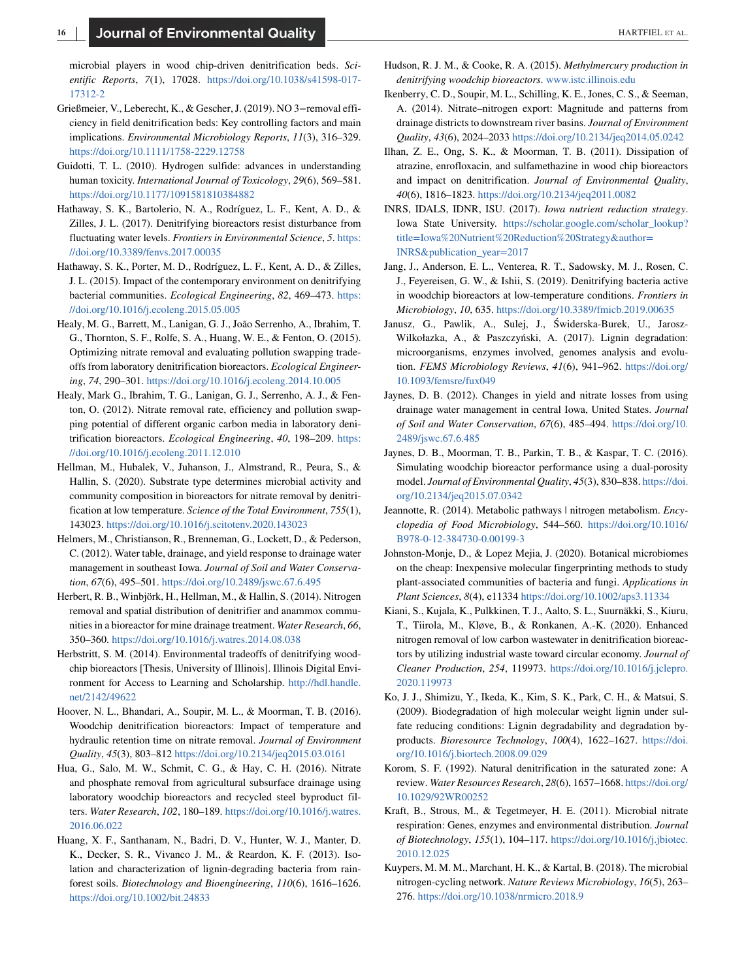<span id="page-15-0"></span>microbial players in wood chip-driven denitrification beds. *Scientific Reports*, *7*(1), 17028. [https://doi.org/10.1038/s41598-017-](https://doi.org/10.1038/s41598-017-17312-2) [17312-2](https://doi.org/10.1038/s41598-017-17312-2)

- Grießmeier, V., Leberecht, K., & Gescher, J. (2019). NO 3−removal efficiency in field denitrification beds: Key controlling factors and main implications. *Environmental Microbiology Reports*, *11*(3), 316–329. <https://doi.org/10.1111/1758-2229.12758>
- Guidotti, T. L. (2010). Hydrogen sulfide: advances in understanding human toxicity. *International Journal of Toxicology*, *29*(6), 569–581. <https://doi.org/10.1177/1091581810384882>
- Hathaway, S. K., Bartolerio, N. A., Rodríguez, L. F., Kent, A. D., & Zilles, J. L. (2017). Denitrifying bioreactors resist disturbance from fluctuating water levels. *Frontiers in Environmental Science*, *5*. [https:](https://doi.org/10.3389/fenvs.2017.00035) [//doi.org/10.3389/fenvs.2017.00035](https://doi.org/10.3389/fenvs.2017.00035)
- Hathaway, S. K., Porter, M. D., Rodríguez, L. F., Kent, A. D., & Zilles, J. L. (2015). Impact of the contemporary environment on denitrifying bacterial communities. *Ecological Engineering*, *82*, 469–473. [https:](https://doi.org/10.1016/j.ecoleng.2015.05.005) [//doi.org/10.1016/j.ecoleng.2015.05.005](https://doi.org/10.1016/j.ecoleng.2015.05.005)
- Healy, M. G., Barrett, M., Lanigan, G. J., João Serrenho, A., Ibrahim, T. G., Thornton, S. F., Rolfe, S. A., Huang, W. E., & Fenton, O. (2015). Optimizing nitrate removal and evaluating pollution swapping tradeoffs from laboratory denitrification bioreactors. *Ecological Engineering*, *74*, 290–301. <https://doi.org/10.1016/j.ecoleng.2014.10.005>
- Healy, Mark G., Ibrahim, T. G., Lanigan, G. J., Serrenho, A. J., & Fenton, O. (2012). Nitrate removal rate, efficiency and pollution swapping potential of different organic carbon media in laboratory denitrification bioreactors. *Ecological Engineering*, *40*, 198–209. [https:](https://doi.org/10.1016/j.ecoleng.2011.12.010) [//doi.org/10.1016/j.ecoleng.2011.12.010](https://doi.org/10.1016/j.ecoleng.2011.12.010)
- Hellman, M., Hubalek, V., Juhanson, J., Almstrand, R., Peura, S., & Hallin, S. (2020). Substrate type determines microbial activity and community composition in bioreactors for nitrate removal by denitrification at low temperature. *Science of the Total Environment*, *755*(1), 143023. <https://doi.org/10.1016/j.scitotenv.2020.143023>
- Helmers, M., Christianson, R., Brenneman, G., Lockett, D., & Pederson, C. (2012). Water table, drainage, and yield response to drainage water management in southeast Iowa. *Journal of Soil and Water Conservation*, *67*(6), 495–501. <https://doi.org/10.2489/jswc.67.6.495>
- Herbert, R. B., Winbjörk, H., Hellman, M., & Hallin, S. (2014). Nitrogen removal and spatial distribution of denitrifier and anammox communities in a bioreactor for mine drainage treatment. *Water Research*, *66*, 350–360. <https://doi.org/10.1016/j.watres.2014.08.038>
- Herbstritt, S. M. (2014). Environmental tradeoffs of denitrifying woodchip bioreactors [Thesis, University of Illinois]. Illinois Digital Environment for Access to Learning and Scholarship. [http://hdl.handle.](http://hdl.handle.net/2142/49622) [net/2142/49622](http://hdl.handle.net/2142/49622)
- Hoover, N. L., Bhandari, A., Soupir, M. L., & Moorman, T. B. (2016). Woodchip denitrification bioreactors: Impact of temperature and hydraulic retention time on nitrate removal. *Journal of Environment Quality*, *45*(3), 803–812 <https://doi.org/10.2134/jeq2015.03.0161>
- Hua, G., Salo, M. W., Schmit, C. G., & Hay, C. H. (2016). Nitrate and phosphate removal from agricultural subsurface drainage using laboratory woodchip bioreactors and recycled steel byproduct filters. *Water Research*, *102*, 180–189. [https://doi.org/10.1016/j.watres.](https://doi.org/10.1016/j.watres.2016.06.022) [2016.06.022](https://doi.org/10.1016/j.watres.2016.06.022)
- Huang, X. F., Santhanam, N., Badri, D. V., Hunter, W. J., Manter, D. K., Decker, S. R., Vivanco J. M., & Reardon, K. F. (2013). Isolation and characterization of lignin-degrading bacteria from rainforest soils. *Biotechnology and Bioengineering*, *110*(6), 1616–1626. <https://doi.org/10.1002/bit.24833>
- Hudson, R. J. M., & Cooke, R. A. (2015). *Methylmercury production in denitrifying woodchip bioreactors*. [www.istc.illinois.edu](http://www.istc.illinois.edu)
- Ikenberry, C. D., Soupir, M. L., Schilling, K. E., Jones, C. S., & Seeman, A. (2014). Nitrate–nitrogen export: Magnitude and patterns from drainage districts to downstream river basins. *Journal of Environment Quality*, *43*(6), 2024–2033 <https://doi.org/10.2134/jeq2014.05.0242>
- Ilhan, Z. E., Ong, S. K., & Moorman, T. B. (2011). Dissipation of atrazine, enrofloxacin, and sulfamethazine in wood chip bioreactors and impact on denitrification. *Journal of Environmental Quality*, *40*(6), 1816–1823. <https://doi.org/10.2134/jeq2011.0082>
- INRS, IDALS, IDNR, ISU. (2017). *Iowa nutrient reduction strategy*. Iowa State University. [https://scholar.google.com/scholar\\_lookup?](https://scholar.google.com/scholar_lookup?titleIowa%20Nutrient%20Reduction%20StrategyauthorINRSpublication_year2017) [title=Iowa%20Nutrient%20Reduction%20Strategy&author=](https://scholar.google.com/scholar_lookup?titleIowa%20Nutrient%20Reduction%20StrategyauthorINRSpublication_year2017) [INRS&publication\\_year=2017](https://scholar.google.com/scholar_lookup?titleIowa%20Nutrient%20Reduction%20StrategyauthorINRSpublication_year2017)
- Jang, J., Anderson, E. L., Venterea, R. T., Sadowsky, M. J., Rosen, C. J., Feyereisen, G. W., & Ishii, S. (2019). Denitrifying bacteria active in woodchip bioreactors at low-temperature conditions. *Frontiers in Microbiology*, *10*, 635. <https://doi.org/10.3389/fmicb.2019.00635>
- Janusz, G., Pawlik, A., Sulej, J., Świderska-Burek, U., Jarosz-Wilkołazka, A., & Paszczyński, A. (2017). Lignin degradation: microorganisms, enzymes involved, genomes analysis and evolution. *FEMS Microbiology Reviews*, *41*(6), 941–962. [https://doi.org/](https://doi.org/10.1093/femsre/fux049) [10.1093/femsre/fux049](https://doi.org/10.1093/femsre/fux049)
- Jaynes, D. B. (2012). Changes in yield and nitrate losses from using drainage water management in central Iowa, United States. *Journal of Soil and Water Conservation*, *67*(6), 485–494. [https://doi.org/10.](https://doi.org/10.2489/jswc.67.6.485) [2489/jswc.67.6.485](https://doi.org/10.2489/jswc.67.6.485)
- Jaynes, D. B., Moorman, T. B., Parkin, T. B., & Kaspar, T. C. (2016). Simulating woodchip bioreactor performance using a dual-porosity model. *Journal of Environmental Quality*, *45*(3), 830–838. [https://doi.](https://doi.org/10.2134/jeq2015.07.0342) [org/10.2134/jeq2015.07.0342](https://doi.org/10.2134/jeq2015.07.0342)
- Jeannotte, R. (2014). Metabolic pathways | nitrogen metabolism. *Encyclopedia of Food Microbiology*, 544–560. [https://doi.org/10.1016/](https://doi.org/10.1016/B978-0-12-384730-0.00199-3) [B978-0-12-384730-0.00199-3](https://doi.org/10.1016/B978-0-12-384730-0.00199-3)
- Johnston-Monje, D., & Lopez Mejia, J. (2020). Botanical microbiomes on the cheap: Inexpensive molecular fingerprinting methods to study plant-associated communities of bacteria and fungi. *Applications in Plant Sciences*, *8*(4), e11334 <https://doi.org/10.1002/aps3.11334>
- Kiani, S., Kujala, K., Pulkkinen, T. J., Aalto, S. L., Suurnäkki, S., Kiuru, T., Tiirola, M., Kløve, B., & Ronkanen, A.-K. (2020). Enhanced nitrogen removal of low carbon wastewater in denitrification bioreactors by utilizing industrial waste toward circular economy. *Journal of Cleaner Production*, *254*, 119973. [https://doi.org/10.1016/j.jclepro.](https://doi.org/10.1016/j.jclepro.2020.119973) [2020.119973](https://doi.org/10.1016/j.jclepro.2020.119973)
- Ko, J. J., Shimizu, Y., Ikeda, K., Kim, S. K., Park, C. H., & Matsui, S. (2009). Biodegradation of high molecular weight lignin under sulfate reducing conditions: Lignin degradability and degradation byproducts. *Bioresource Technology*, *100*(4), 1622–1627. [https://doi.](https://doi.org/10.1016/j.biortech.2008.09.029) [org/10.1016/j.biortech.2008.09.029](https://doi.org/10.1016/j.biortech.2008.09.029)
- Korom, S. F. (1992). Natural denitrification in the saturated zone: A review. *Water Resources Research*, *28*(6), 1657–1668. [https://doi.org/](https://doi.org/10.1029/92WR00252) [10.1029/92WR00252](https://doi.org/10.1029/92WR00252)
- Kraft, B., Strous, M., & Tegetmeyer, H. E. (2011). Microbial nitrate respiration: Genes, enzymes and environmental distribution. *Journal of Biotechnology*, *155*(1), 104–117. [https://doi.org/10.1016/j.jbiotec.](https://doi.org/10.1016/j.jbiotec.2010.12.025) [2010.12.025](https://doi.org/10.1016/j.jbiotec.2010.12.025)
- Kuypers, M. M. M., Marchant, H. K., & Kartal, B. (2018). The microbial nitrogen-cycling network. *Nature Reviews Microbiology*, *16*(5), 263– 276. <https://doi.org/10.1038/nrmicro.2018.9>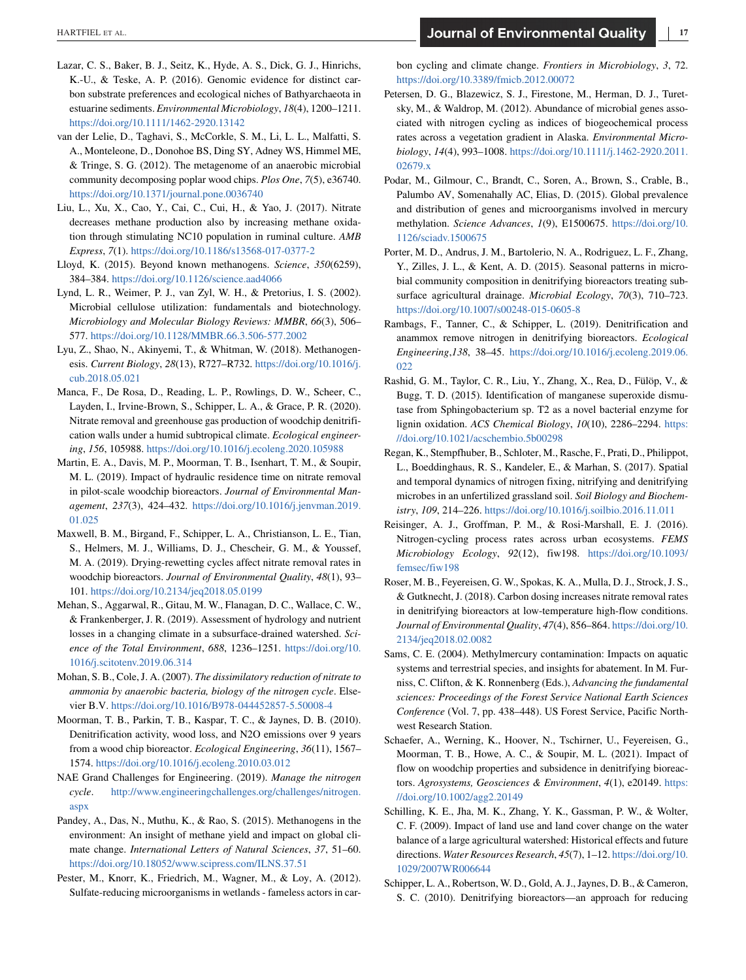- <span id="page-16-0"></span>Lazar, C. S., Baker, B. J., Seitz, K., Hyde, A. S., Dick, G. J., Hinrichs, K.-U., & Teske, A. P. (2016). Genomic evidence for distinct carbon substrate preferences and ecological niches of Bathyarchaeota in estuarine sediments. *Environmental Microbiology*, *18*(4), 1200–1211. <https://doi.org/10.1111/1462-2920.13142>
- van der Lelie, D., Taghavi, S., McCorkle, S. M., Li, L. L., Malfatti, S. A., Monteleone, D., Donohoe BS, Ding SY, Adney WS, Himmel ME, & Tringe, S. G. (2012). The metagenome of an anaerobic microbial community decomposing poplar wood chips. *Plos One*, *7*(5), e36740. <https://doi.org/10.1371/journal.pone.0036740>
- Liu, L., Xu, X., Cao, Y., Cai, C., Cui, H., & Yao, J. (2017). Nitrate decreases methane production also by increasing methane oxidation through stimulating NC10 population in ruminal culture. *AMB Express*, *7*(1). <https://doi.org/10.1186/s13568-017-0377-2>
- Lloyd, K. (2015). Beyond known methanogens. *Science*, *350*(6259), 384–384. <https://doi.org/10.1126/science.aad4066>
- Lynd, L. R., Weimer, P. J., van Zyl, W. H., & Pretorius, I. S. (2002). Microbial cellulose utilization: fundamentals and biotechnology. *Microbiology and Molecular Biology Reviews: MMBR*, *66*(3), 506– 577. <https://doi.org/10.1128/MMBR.66.3.506-577.2002>
- Lyu, Z., Shao, N., Akinyemi, T., & Whitman, W. (2018). Methanogenesis. *Current Biology*, *28*(13), R727–R732. [https://doi.org/10.1016/j.](https://doi.org/10.1016/j.cub.2018.05.021) [cub.2018.05.021](https://doi.org/10.1016/j.cub.2018.05.021)
- Manca, F., De Rosa, D., Reading, L. P., Rowlings, D. W., Scheer, C., Layden, I., Irvine-Brown, S., Schipper, L. A., & Grace, P. R. (2020). Nitrate removal and greenhouse gas production of woodchip denitrification walls under a humid subtropical climate. *Ecological engineering*, *156*, 105988. <https://doi.org/10.1016/j.ecoleng.2020.105988>
- Martin, E. A., Davis, M. P., Moorman, T. B., Isenhart, T. M., & Soupir, M. L. (2019). Impact of hydraulic residence time on nitrate removal in pilot-scale woodchip bioreactors. *Journal of Environmental Management*, *237*(3), 424–432. [https://doi.org/10.1016/j.jenvman.2019.](https://doi.org/10.1016/j.jenvman.2019.01.025) [01.025](https://doi.org/10.1016/j.jenvman.2019.01.025)
- Maxwell, B. M., Birgand, F., Schipper, L. A., Christianson, L. E., Tian, S., Helmers, M. J., Williams, D. J., Chescheir, G. M., & Youssef, M. A. (2019). Drying-rewetting cycles affect nitrate removal rates in woodchip bioreactors. *Journal of Environmental Quality*, *48*(1), 93– 101. <https://doi.org/10.2134/jeq2018.05.0199>
- Mehan, S., Aggarwal, R., Gitau, M. W., Flanagan, D. C., Wallace, C. W., & Frankenberger, J. R. (2019). Assessment of hydrology and nutrient losses in a changing climate in a subsurface-drained watershed. *Science of the Total Environment*, *688*, 1236–1251. [https://doi.org/10.](https://doi.org/10.1016/j.scitotenv.2019.06.314) [1016/j.scitotenv.2019.06.314](https://doi.org/10.1016/j.scitotenv.2019.06.314)
- Mohan, S. B., Cole, J. A. (2007). *The dissimilatory reduction of nitrate to ammonia by anaerobic bacteria, biology of the nitrogen cycle*. Elsevier B.V. <https://doi.org/10.1016/B978-044452857-5.50008-4>
- Moorman, T. B., Parkin, T. B., Kaspar, T. C., & Jaynes, D. B. (2010). Denitrification activity, wood loss, and N2O emissions over 9 years from a wood chip bioreactor. *Ecological Engineering*, *36*(11), 1567– 1574. <https://doi.org/10.1016/j.ecoleng.2010.03.012>
- NAE Grand Challenges for Engineering. (2019). *Manage the nitrogen cycle*. [http://www.engineeringchallenges.org/challenges/nitrogen.](http://www.engineeringchallenges.org/challenges/nitrogen.aspx) [aspx](http://www.engineeringchallenges.org/challenges/nitrogen.aspx)
- Pandey, A., Das, N., Muthu, K., & Rao, S. (2015). Methanogens in the environment: An insight of methane yield and impact on global climate change. *International Letters of Natural Sciences*, *37*, 51–60. <https://doi.org/10.18052/www.scipress.com/ILNS.37.51>
- Pester, M., Knorr, K., Friedrich, M., Wagner, M., & Loy, A. (2012). Sulfate-reducing microorganisms in wetlands - fameless actors in car-

bon cycling and climate change. *Frontiers in Microbiology*, *3*, 72. <https://doi.org/10.3389/fmicb.2012.00072>

- Petersen, D. G., Blazewicz, S. J., Firestone, M., Herman, D. J., Turetsky, M., & Waldrop, M. (2012). Abundance of microbial genes associated with nitrogen cycling as indices of biogeochemical process rates across a vegetation gradient in Alaska. *Environmental Microbiology*, *14*(4), 993–1008. [https://doi.org/10.1111/j.1462-2920.2011.](https://doi.org/10.1111/j.1462-2920.2011.02679.x) [02679.x](https://doi.org/10.1111/j.1462-2920.2011.02679.x)
- Podar, M., Gilmour, C., Brandt, C., Soren, A., Brown, S., Crable, B., Palumbo AV, Somenahally AC, Elias, D. (2015). Global prevalence and distribution of genes and microorganisms involved in mercury methylation. *Science Advances*, *1*(9), E1500675. [https://doi.org/10.](https://doi.org/10.1126/sciadv.1500675) [1126/sciadv.1500675](https://doi.org/10.1126/sciadv.1500675)
- Porter, M. D., Andrus, J. M., Bartolerio, N. A., Rodriguez, L. F., Zhang, Y., Zilles, J. L., & Kent, A. D. (2015). Seasonal patterns in microbial community composition in denitrifying bioreactors treating subsurface agricultural drainage. *Microbial Ecology*, *70*(3), 710–723. <https://doi.org/10.1007/s00248-015-0605-8>
- Rambags, F., Tanner, C., & Schipper, L. (2019). Denitrification and anammox remove nitrogen in denitrifying bioreactors. *Ecological Engineering*,*138*, 38–45. [https://doi.org/10.1016/j.ecoleng.2019.06.](https://doi.org/10.1016/j.ecoleng.2019.06.022) [022](https://doi.org/10.1016/j.ecoleng.2019.06.022)
- Rashid, G. M., Taylor, C. R., Liu, Y., Zhang, X., Rea, D., Fülöp, V., & Bugg, T. D. (2015). Identification of manganese superoxide dismutase from Sphingobacterium sp. T2 as a novel bacterial enzyme for lignin oxidation. *ACS Chemical Biology*, *10*(10), 2286–2294. [https:](https://doi.org/10.1021/acschembio.5b00298) [//doi.org/10.1021/acschembio.5b00298](https://doi.org/10.1021/acschembio.5b00298)
- Regan, K., Stempfhuber, B., Schloter, M., Rasche, F., Prati, D., Philippot, L., Boeddinghaus, R. S., Kandeler, E., & Marhan, S. (2017). Spatial and temporal dynamics of nitrogen fixing, nitrifying and denitrifying microbes in an unfertilized grassland soil. *Soil Biology and Biochemistry*, *109*, 214–226. <https://doi.org/10.1016/j.soilbio.2016.11.011>
- Reisinger, A. J., Groffman, P. M., & Rosi-Marshall, E. J. (2016). Nitrogen-cycling process rates across urban ecosystems. *FEMS Microbiology Ecology*, *92*(12), fiw198. [https://doi.org/10.1093/](https://doi.org/10.1093/femsec/fiw198) [femsec/fiw198](https://doi.org/10.1093/femsec/fiw198)
- Roser, M. B., Feyereisen, G. W., Spokas, K. A., Mulla, D. J., Strock, J. S., & Gutknecht, J. (2018). Carbon dosing increases nitrate removal rates in denitrifying bioreactors at low-temperature high-flow conditions. *Journal of Environmental Quality*, *47*(4), 856–864. [https://doi.org/10.](https://doi.org/10.2134/jeq2018.02.0082) [2134/jeq2018.02.0082](https://doi.org/10.2134/jeq2018.02.0082)
- Sams, C. E. (2004). Methylmercury contamination: Impacts on aquatic systems and terrestrial species, and insights for abatement. In M. Furniss, C. Clifton, & K. Ronnenberg (Eds.), *Advancing the fundamental sciences: Proceedings of the Forest Service National Earth Sciences Conference* (Vol. 7, pp. 438–448). US Forest Service, Pacific Northwest Research Station.
- Schaefer, A., Werning, K., Hoover, N., Tschirner, U., Feyereisen, G., Moorman, T. B., Howe, A. C., & Soupir, M. L. (2021). Impact of flow on woodchip properties and subsidence in denitrifying bioreactors. *Agrosystems, Geosciences & Environment*, *4*(1), e20149. [https:](https://doi.org/10.1002/agg2.20149) [//doi.org/10.1002/agg2.20149](https://doi.org/10.1002/agg2.20149)
- Schilling, K. E., Jha, M. K., Zhang, Y. K., Gassman, P. W., & Wolter, C. F. (2009). Impact of land use and land cover change on the water balance of a large agricultural watershed: Historical effects and future directions. *Water Resources Research*, *45*(7), 1–12. [https://doi.org/10.](https://doi.org/10.1029/2007WR006644) [1029/2007WR006644](https://doi.org/10.1029/2007WR006644)
- Schipper, L. A., Robertson, W. D., Gold, A. J., Jaynes, D. B., & Cameron, S. C. (2010). Denitrifying bioreactors—an approach for reducing